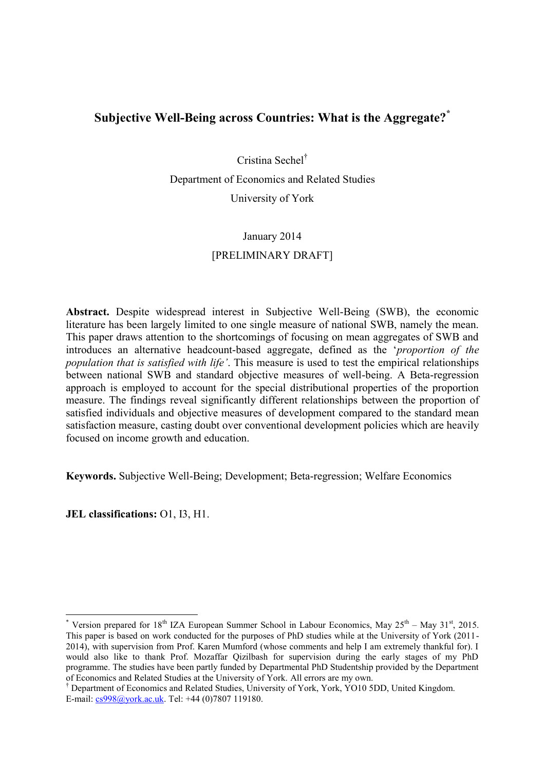# **Subjective Well-Being across Countries: What is the Aggregate?\***

Cristina Sechel† Department of Economics and Related Studies University of York

# January 2014 [PRELIMINARY DRAFT]

**Abstract.** Despite widespread interest in Subjective Well-Being (SWB), the economic literature has been largely limited to one single measure of national SWB, namely the mean. This paper draws attention to the shortcomings of focusing on mean aggregates of SWB and introduces an alternative headcount-based aggregate, defined as the '*proportion of the population that is satisfied with life'*. This measure is used to test the empirical relationships between national SWB and standard objective measures of well-being. A Beta-regression approach is employed to account for the special distributional properties of the proportion measure. The findings reveal significantly different relationships between the proportion of satisfied individuals and objective measures of development compared to the standard mean satisfaction measure, casting doubt over conventional development policies which are heavily focused on income growth and education.

**Keywords.** Subjective Well-Being; Development; Beta-regression; Welfare Economics

**JEL classifications:** O1, I3, H1.

<u>.</u>

<sup>\*</sup> Version prepared for  $18<sup>th</sup> IZA$  European Summer School in Labour Economics, May  $25<sup>th</sup>$  – May  $31<sup>st</sup>$ , 2015. This paper is based on work conducted for the purposes of PhD studies while at the University of York (2011- 2014), with supervision from Prof. Karen Mumford (whose comments and help I am extremely thankful for). I would also like to thank Prof. Mozaffar Qizilbash for supervision during the early stages of my PhD programme. The studies have been partly funded by Departmental PhD Studentship provided by the Department of Economics and Related Studies at the University of York. All errors are my own.

<sup>†</sup> Department of Economics and Related Studies, University of York, York, YO10 5DD, United Kingdom. E-mail: [cs998@york.ac.uk.](mailto:cs998@york.ac.uk) Tel: +44 (0)7807 119180.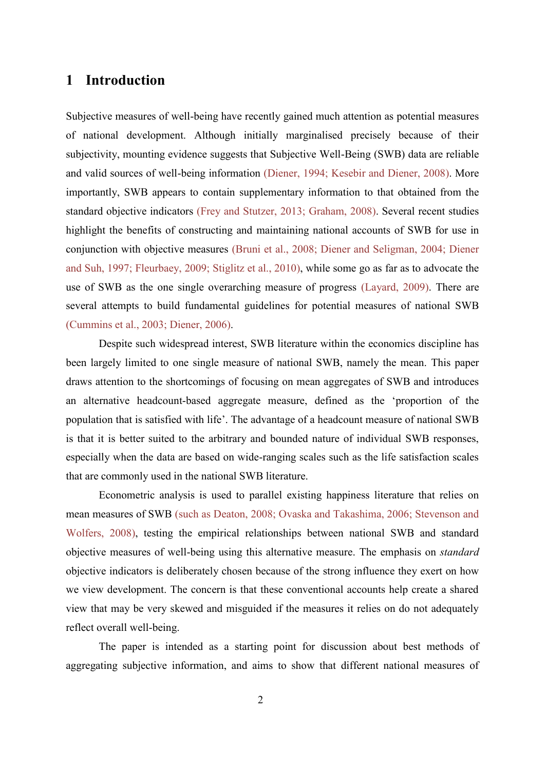## **1 Introduction**

Subjective measures of well-being have recently gained much attention as potential measures of national development. Although initially marginalised precisely because of their subjectivity, mounting evidence suggests that Subjective Well-Being (SWB) data are reliable and valid sources of well-being information [\(Diener, 1994;](#page-29-0) [Kesebir and Diener, 2008\)](#page-30-0). More importantly, SWB appears to contain supplementary information to that obtained from the standard objective indicators [\(Frey and Stutzer, 2013;](#page-29-1) [Graham, 2008\)](#page-30-1). Several recent studies highlight the benefits of constructing and maintaining national accounts of SWB for use in conjunction with objective measures [\(Bruni et al., 2008;](#page-29-2) Diener and [Seligman, 2004;](#page-29-3) [Diener](#page-29-4)  [and Suh, 1997;](#page-29-4) [Fleurbaey, 2009;](#page-29-5) [Stiglitz et al., 2010\)](#page-30-2), while some go as far as to advocate the use of SWB as the one single overarching measure of progress [\(Layard, 2009\)](#page-30-3). There are several attempts to build fundamental guidelines for potential measures of national SWB [\(Cummins et al., 2003;](#page-29-6) [Diener, 2006\)](#page-29-7).

Despite such widespread interest, SWB literature within the economics discipline has been largely limited to one single measure of national SWB, namely the mean. This paper draws attention to the shortcomings of focusing on mean aggregates of SWB and introduces an alternative headcount-based aggregate measure, defined as the 'proportion of the population that is satisfied with life'. The advantage of a headcount measure of national SWB is that it is better suited to the arbitrary and bounded nature of individual SWB responses, especially when the data are based on wide-ranging scales such as the life satisfaction scales that are commonly used in the national SWB literature.

Econometric analysis is used to parallel existing happiness literature that relies on mean measures of SWB (such as [Deaton, 2008;](#page-29-8) [Ovaska and Takashima, 2006;](#page-30-4) [Stevenson and](#page-30-5)  [Wolfers, 2008\)](#page-30-5), testing the empirical relationships between national SWB and standard objective measures of well-being using this alternative measure. The emphasis on *standard* objective indicators is deliberately chosen because of the strong influence they exert on how we view development. The concern is that these conventional accounts help create a shared view that may be very skewed and misguided if the measures it relies on do not adequately reflect overall well-being.

The paper is intended as a starting point for discussion about best methods of aggregating subjective information, and aims to show that different national measures of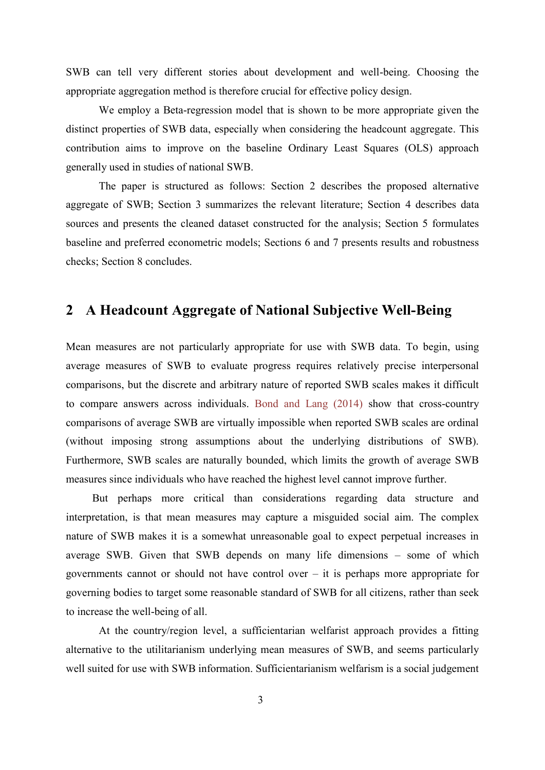SWB can tell very different stories about development and well-being. Choosing the appropriate aggregation method is therefore crucial for effective policy design.

We employ a Beta-regression model that is shown to be more appropriate given the distinct properties of SWB data, especially when considering the headcount aggregate. This contribution aims to improve on the baseline Ordinary Least Squares (OLS) approach generally used in studies of national SWB.

The paper is structured as follows: Section 2 describes the proposed alternative aggregate of SWB; Section 3 summarizes the relevant literature; Section [4](#page-5-0) describes data sources and presents the cleaned dataset constructed for the analysis; Section [5](#page-11-0) formulates baseline and preferred econometric models; Sections 6 and 7 presents results and robustness checks; Section [8](#page-28-0) concludes.

# **2 A Headcount Aggregate of National Subjective Well-Being**

Mean measures are not particularly appropriate for use with SWB data. To begin, using average measures of SWB to evaluate progress requires relatively precise interpersonal comparisons, but the discrete and arbitrary nature of reported SWB scales makes it difficult to compare answers across individuals. [Bond and Lang \(2014\)](#page-29-9) show that cross-country comparisons of average SWB are virtually impossible when reported SWB scales are ordinal (without imposing strong assumptions about the underlying distributions of SWB). Furthermore, SWB scales are naturally bounded, which limits the growth of average SWB measures since individuals who have reached the highest level cannot improve further.

But perhaps more critical than considerations regarding data structure and interpretation, is that mean measures may capture a misguided social aim. The complex nature of SWB makes it is a somewhat unreasonable goal to expect perpetual increases in average SWB. Given that SWB depends on many life dimensions – some of which governments cannot or should not have control over – it is perhaps more appropriate for governing bodies to target some reasonable standard of SWB for all citizens, rather than seek to increase the well-being of all.

At the country/region level, a sufficientarian welfarist approach provides a fitting alternative to the utilitarianism underlying mean measures of SWB, and seems particularly well suited for use with SWB information. Sufficientarianism welfarism is a social judgement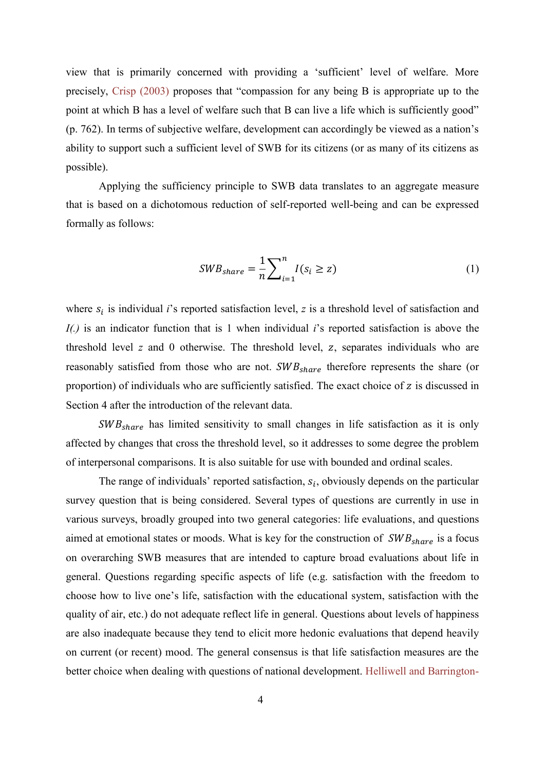view that is primarily concerned with providing a 'sufficient' level of welfare. More precisely, [Crisp \(2003\)](#page-29-10) proposes that "compassion for any being B is appropriate up to the point at which B has a level of welfare such that B can live a life which is sufficiently good" (p. 762). In terms of subjective welfare, development can accordingly be viewed as a nation's ability to support such a sufficient level of SWB for its citizens (or as many of its citizens as possible).

Applying the sufficiency principle to SWB data translates to an aggregate measure that is based on a dichotomous reduction of self-reported well-being and can be expressed formally as follows:

$$
SWB_{share} = \frac{1}{n} \sum_{i=1}^{n} I(s_i \ge z)
$$
 (1)

where  $s_i$  is individual *i*'s reported satisfaction level, *z* is a threshold level of satisfaction and *I(.)* is an indicator function that is 1 when individual *i*'s reported satisfaction is above the threshold level  $z$  and  $\theta$  otherwise. The threshold level,  $z$ , separates individuals who are reasonably satisfied from those who are not.  $SWB_{share}$  therefore represents the share (or proportion) of individuals who are sufficiently satisfied. The exact choice of  $z$  is discussed in Section 4 after the introduction of the relevant data.

 $SWB_{share}$  has limited sensitivity to small changes in life satisfaction as it is only affected by changes that cross the threshold level, so it addresses to some degree the problem of interpersonal comparisons. It is also suitable for use with bounded and ordinal scales.

The range of individuals' reported satisfaction,  $s_i$ , obviously depends on the particular survey question that is being considered. Several types of questions are currently in use in various surveys, broadly grouped into two general categories: life evaluations, and questions aimed at emotional states or moods. What is key for the construction of  $SWB_{share}$  is a focus on overarching SWB measures that are intended to capture broad evaluations about life in general. Questions regarding specific aspects of life (e.g. satisfaction with the freedom to choose how to live one's life, satisfaction with the educational system, satisfaction with the quality of air, etc.) do not adequate reflect life in general. Questions about levels of happiness are also inadequate because they tend to elicit more hedonic evaluations that depend heavily on current (or recent) mood. The general consensus is that life satisfaction measures are the better choice when dealing with questions of national development. [Helliwell and Barrington-](#page-30-6)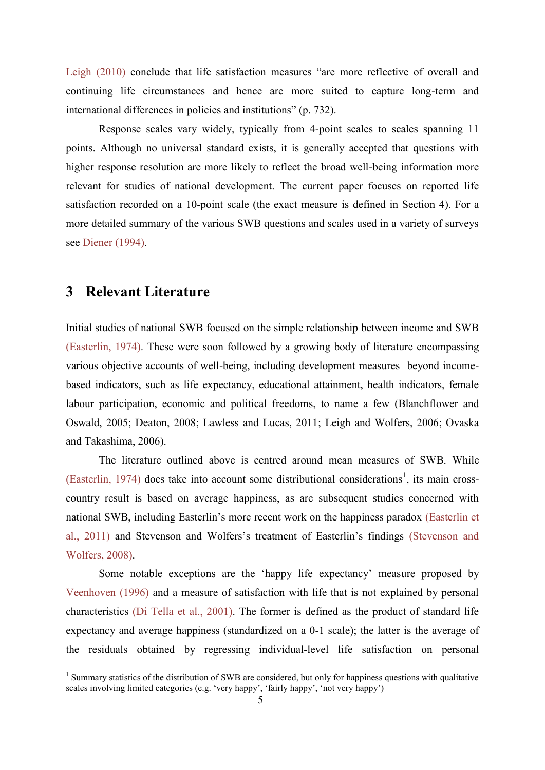Leigh (2010) conclude that life satisfaction measures "are more reflective of overall and continuing life circumstances and hence are more suited to capture long-term and international differences in policies and institutions" (p. 732).

Response scales vary widely, typically from 4-point scales to scales spanning 11 points. Although no universal standard exists, it is generally accepted that questions with higher response resolution are more likely to reflect the broad well-being information more relevant for studies of national development. The current paper focuses on reported life satisfaction recorded on a 10-point scale (the exact measure is defined in Section 4). For a more detailed summary of the various SWB questions and scales used in a variety of surveys see [Diener \(1994\).](#page-29-0)

## **3 Relevant Literature**

1

Initial studies of national SWB focused on the simple relationship between income and SWB [\(Easterlin, 1974\)](#page-29-11). These were soon followed by a growing body of literature encompassing various objective accounts of well-being, including development measures beyond incomebased indicators, such as life expectancy, educational attainment, health indicators, female labour participation, economic and political freedoms, to name a few [\(Blanchflower and](#page-29-12)  [Oswald, 2005;](#page-29-12) [Deaton, 2008;](#page-29-8) [Lawless and Lucas, 2011;](#page-30-7) [Leigh and Wolfers, 2006;](#page-30-8) [Ovaska](#page-30-4)  [and Takashima, 2006\)](#page-30-4).

The literature outlined above is centred around mean measures of SWB. While [\(Easterlin, 1974\)](#page-29-11) does take into account some distributional considerations<sup>1</sup>, its main crosscountry result is based on average happiness, as are subsequent studies concerned with national SWB, including Easterlin's more recent work on the happiness paradox [\(Easterlin et](#page-29-13)  [al., 2011\)](#page-29-13) and Stevenson and Wolfers's treatment of Easterlin's findings [\(Stevenson and](#page-30-5)  [Wolfers,](#page-30-5) 2008).

Some notable exceptions are the 'happy life expectancy' measure proposed by [Veenhoven \(1996\)](#page-30-9) and a measure of satisfaction with life that is not explained by personal characteristics [\(Di Tella et al., 2001\)](#page-29-14). The former is defined as the product of standard life expectancy and average happiness (standardized on a 0-1 scale); the latter is the average of the residuals obtained by regressing individual-level life satisfaction on personal

<sup>&</sup>lt;sup>1</sup> Summary statistics of the distribution of SWB are considered, but only for happiness questions with qualitative scales involving limited categories (e.g. 'very happy', 'fairly happy', 'not very happy')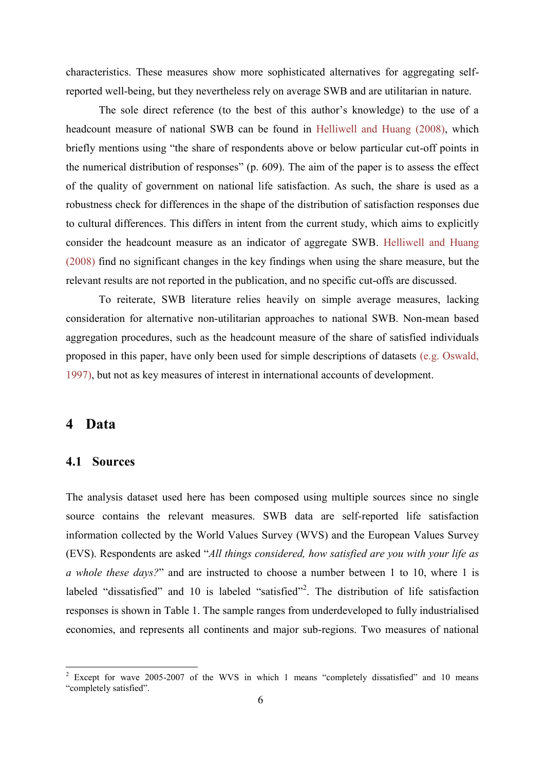characteristics. These measures show more sophisticated alternatives for aggregating selfreported well-being, but they nevertheless rely on average SWB and are utilitarian in nature.

The sole direct reference (to the best of this author's knowledge) to the use of a headcount measure of national SWB can be found in [Helliwell and Huang \(2008\),](#page-30-10) which briefly mentions using "the share of respondents above or below particular cut-off points in the numerical distribution of responses" (p. 609). The aim of the paper is to assess the effect of the quality of government on national life satisfaction. As such, the share is used as a robustness check for differences in the shape of the distribution of satisfaction responses due to cultural differences. This differs in intent from the current study, which aims to explicitly consider the headcount measure as an indicator of aggregate SWB. [Helliwell and Huang](#page-30-10)  (2008) find no significant changes in the key findings when using the share measure, but the relevant results are not reported in the publication, and no specific cut-offs are discussed.

To reiterate, SWB literature relies heavily on simple average measures, lacking consideration for alternative non-utilitarian approaches to national SWB. Non-mean based aggregation procedures, such as the headcount measure of the share of satisfied individuals proposed in this paper, have only been used for simple descriptions of datasets [\(e.g. Oswald,](#page-30-11)  [1997\)](#page-30-11), but not as key measures of interest in international accounts of development.

## <span id="page-5-0"></span>**4 Data**

1

#### **4.1 Sources**

The analysis dataset used here has been composed using multiple sources since no single source contains the relevant measures. SWB data are self-reported life satisfaction information collected by the World Values Survey (WVS) and the European Values Survey (EVS). Respondents are asked "*All things considered, how satisfied are you with your life as a whole these days?*" and are instructed to choose a number between 1 to 10, where 1 is labeled "dissatisfied" and 10 is labeled "satisfied"<sup>2</sup>. The distribution of life satisfaction responses is shown in Table 1. The sample ranges from underdeveloped to fully industrialised economies, and represents all continents and major sub-regions. Two measures of national

Except for wave 2005-2007 of the WVS in which 1 means "completely dissatisfied" and 10 means "completely satisfied".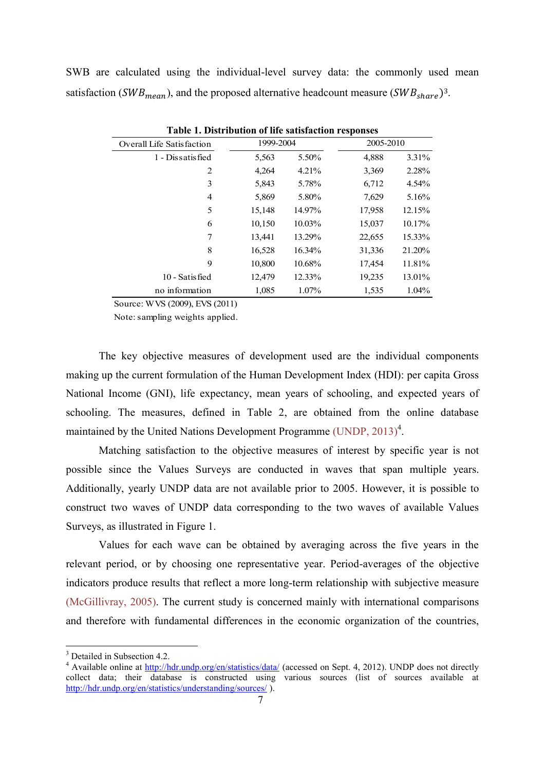SWB are calculated using the individual-level survey data: the commonly used mean satisfaction (SWB<sub>mean</sub>), and the proposed alternative headcount measure (SWB<sub>share</sub>)<sup>3</sup>.

| Table 1. Distribution of the sausiaction responses |           |        |           |        |  |  |  |  |
|----------------------------------------------------|-----------|--------|-----------|--------|--|--|--|--|
| <b>Overall Life Satisfaction</b>                   | 1999-2004 |        | 2005-2010 |        |  |  |  |  |
| 1 - Dissatisfied                                   | 5,563     | 5.50%  | 4,888     | 3.31%  |  |  |  |  |
| 2                                                  | 4,264     | 4.21%  | 3,369     | 2.28%  |  |  |  |  |
| 3                                                  | 5,843     | 5.78%  | 6,712     | 4.54%  |  |  |  |  |
| 4                                                  | 5,869     | 5.80%  | 7,629     | 5.16%  |  |  |  |  |
| 5                                                  | 15,148    | 14.97% | 17,958    | 12.15% |  |  |  |  |
| 6                                                  | 10,150    | 10.03% | 15,037    | 10.17% |  |  |  |  |
| 7                                                  | 13,441    | 13.29% | 22,655    | 15.33% |  |  |  |  |
| 8                                                  | 16,528    | 16.34% | 31,336    | 21.20% |  |  |  |  |
| 9                                                  | 10,800    | 10.68% | 17,454    | 11.81% |  |  |  |  |
| 10 - Satisfied                                     | 12,479    | 12.33% | 19,235    | 13.01% |  |  |  |  |
| no information                                     | 1,085     | 1.07%  | 1,535     | 1.04%  |  |  |  |  |
|                                                    |           |        |           |        |  |  |  |  |

**Table 1. Distribution of life satisfaction responses**

Source: WVS (2009), EVS (2011)

Note: sampling weights applied.

The key objective measures of development used are the individual components making up the current formulation of the Human Development Index (HDI): per capita Gross National Income (GNI), life expectancy, mean years of schooling, and expected years of schooling. The measures, defined in Table 2, are obtained from the online database maintained by the United Nations Development Programme [\(UNDP, 2013\)](#page-30-12)<sup>4</sup>.

Matching satisfaction to the objective measures of interest by specific year is not possible since the Values Surveys are conducted in waves that span multiple years. Additionally, yearly UNDP data are not available prior to 2005. However, it is possible to construct two waves of UNDP data corresponding to the two waves of available Values Surveys, as illustrated in [Figure 1.](#page-7-0)

Values for each wave can be obtained by averaging across the five years in the relevant period, or by choosing one representative year. Period-averages of the objective indicators produce results that reflect a more long-term relationship with subjective measure [\(McGillivray, 2005\)](#page-30-13). The current study is concerned mainly with international comparisons and therefore with fundamental differences in the economic organization of the countries,

1

<sup>&</sup>lt;sup>3</sup> Detailed in Subsection 4.2.

<sup>&</sup>lt;sup>4</sup> Available online at<http://hdr.undp.org/en/statistics/data/> (accessed on Sept. 4, 2012). UNDP does not directly collect data; their database is constructed using various sources (list of sources available at <http://hdr.undp.org/en/statistics/understanding/sources/> ).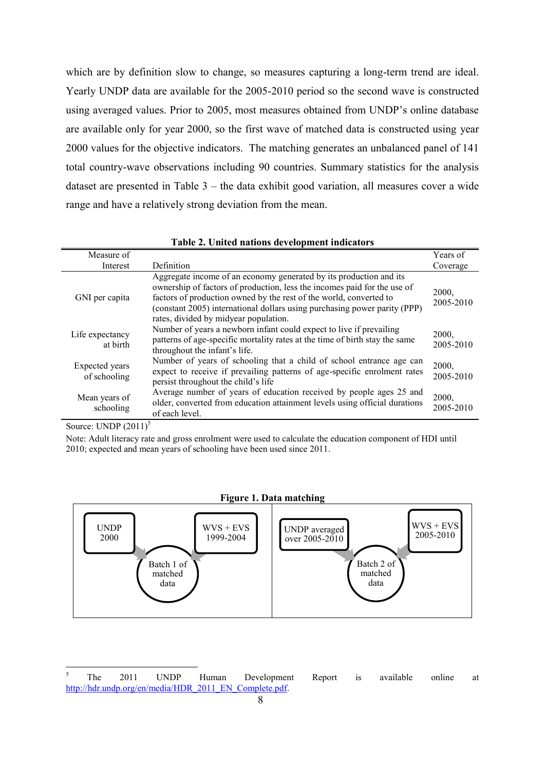which are by definition slow to change, so measures capturing a long-term trend are ideal. Yearly UNDP data are available for the 2005-2010 period so the second wave is constructed using averaged values. Prior to 2005, most measures obtained from UNDP's online database are available only for year 2000, so the first wave of matched data is constructed using year 2000 values for the objective indicators. The matching generates an unbalanced panel of 141 total country-wave observations including 90 countries. Summary statistics for the analysis dataset are presented in Table 3 – the data exhibit good variation, all measures cover a wide range and have a relatively strong deviation from the mean.

| Measure of                     |                                                                                                                                                                                                                                                                                                                                            | Years of           |
|--------------------------------|--------------------------------------------------------------------------------------------------------------------------------------------------------------------------------------------------------------------------------------------------------------------------------------------------------------------------------------------|--------------------|
| Interest                       | Definition                                                                                                                                                                                                                                                                                                                                 | Coverage           |
| GNI per capita                 | Aggregate income of an economy generated by its production and its<br>ownership of factors of production, less the incomes paid for the use of<br>factors of production owned by the rest of the world, converted to<br>(constant 2005) international dollars using purchasing power parity (PPP)<br>rates, divided by midyear population. | 2000,<br>2005-2010 |
| Life expectancy<br>at birth    | Number of years a newborn infant could expect to live if prevailing<br>patterns of age-specific mortality rates at the time of birth stay the same<br>throughout the infant's life.                                                                                                                                                        | 2000,<br>2005-2010 |
| Expected years<br>of schooling | Number of years of schooling that a child of school entrance age can<br>expect to receive if prevailing patterns of age-specific enrolment rates<br>persist throughout the child's life                                                                                                                                                    | 2000,<br>2005-2010 |
| Mean years of<br>schooling     | Average number of years of education received by people ages 25 and<br>older, converted from education attainment levels using official durations<br>of each level.                                                                                                                                                                        | 2000,<br>2005-2010 |

| Table 2. United nations development indicators |  |  |  |  |  |  |
|------------------------------------------------|--|--|--|--|--|--|
|------------------------------------------------|--|--|--|--|--|--|

Source: UNDP  $(2011)^5$ 

Note: Adult literacy rate and gross enrolment were used to calculate the education component of HDI until 2010; expected and mean years of schooling have been used since 2011.

#### **Figure 1. Data matching**

<span id="page-7-0"></span>

 $\overline{\mathbf{S}}$ <sup>5</sup> The 2011 UNDP Human Development Report is available online at [http://hdr.undp.org/en/media/HDR\\_2011\\_EN\\_Complete.pdf.](http://hdr.undp.org/en/media/HDR_2011_EN_Complete.pdf)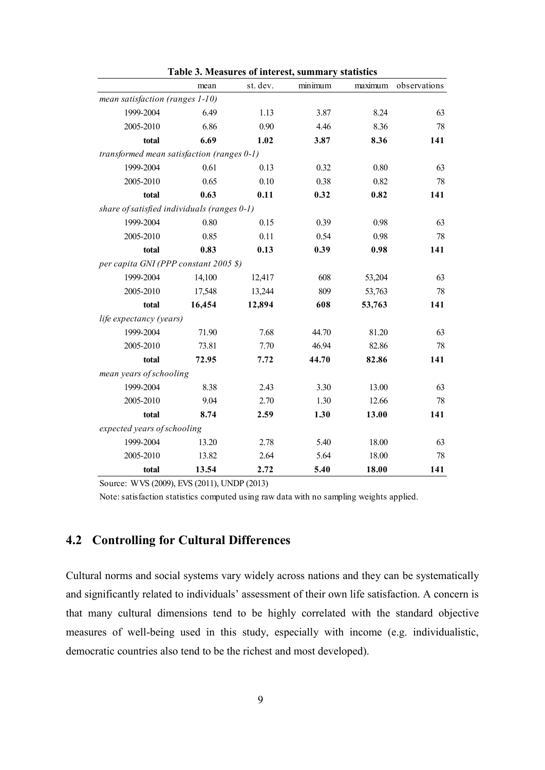|                                             | mean   | st. dev. | minimum | maximum | observations |
|---------------------------------------------|--------|----------|---------|---------|--------------|
| mean satisfaction (ranges 1-10)             |        |          |         |         |              |
| 1999-2004                                   | 6.49   | 1.13     | 3.87    | 8.24    | 63           |
| 2005-2010                                   | 6.86   | 0.90     | 4.46    | 8.36    | 78           |
| total                                       | 6.69   | 1.02     | 3.87    | 8.36    | 141          |
| transformed mean satisfaction (ranges 0-1)  |        |          |         |         |              |
| 1999-2004                                   | 0.61   | 0.13     | 0.32    | 0.80    | 63           |
| 2005-2010                                   | 0.65   | 0.10     | 0.38    | 0.82    | 78           |
| total                                       | 0.63   | 0.11     | 0.32    | 0.82    | 141          |
| share of satisfied individuals (ranges 0-1) |        |          |         |         |              |
| 1999-2004                                   | 0.80   | 0.15     | 0.39    | 0.98    | 63           |
| 2005-2010                                   | 0.85   | 0.11     | 0.54    | 0.98    | 78           |
| total                                       | 0.83   | 0.13     | 0.39    | 0.98    | 141          |
| per capita GNI (PPP constant 2005 \$)       |        |          |         |         |              |
| 1999-2004                                   | 14,100 | 12,417   | 608     | 53,204  | 63           |
| 2005-2010                                   | 17,548 | 13,244   | 809     | 53,763  | 78           |
| total                                       | 16,454 | 12,894   | 608     | 53,763  | 141          |
| life expectancy (years)                     |        |          |         |         |              |
| 1999-2004                                   | 71.90  | 7.68     | 44.70   | 81.20   | 63           |
| 2005-2010                                   | 73.81  | 7.70     | 46.94   | 82.86   | 78           |
| total                                       | 72.95  | 7.72     | 44.70   | 82.86   | 141          |
| mean years of schooling                     |        |          |         |         |              |
| 1999-2004                                   | 8.38   | 2.43     | 3.30    | 13.00   | 63           |
| 2005-2010                                   | 9.04   | 2.70     | 1.30    | 12.66   | 78           |
| total                                       | 8.74   | 2.59     | 1.30    | 13.00   | 141          |
| expected years of schooling                 |        |          |         |         |              |
| 1999-2004                                   | 13.20  | 2.78     | 5.40    | 18.00   | 63           |
| 2005-2010                                   | 13.82  | 2.64     | 5.64    | 18.00   | 78           |
| total                                       | 13.54  | 2.72     | 5.40    | 18.00   | 141          |

**Table 3. Measures of interest, summary statistics**

Source: WVS (2009), EVS (2011), UNDP (2013)

Note: satisfaction statistics computed using raw data with no sampling weights applied.

## **4.2 Controlling for Cultural Differences**

Cultural norms and social systems vary widely across nations and they can be systematically and significantly related to individuals' assessment of their own life satisfaction. A concern is that many cultural dimensions tend to be highly correlated with the standard objective measures of well-being used in this study, especially with income (e.g. individualistic, democratic countries also tend to be the richest and most developed).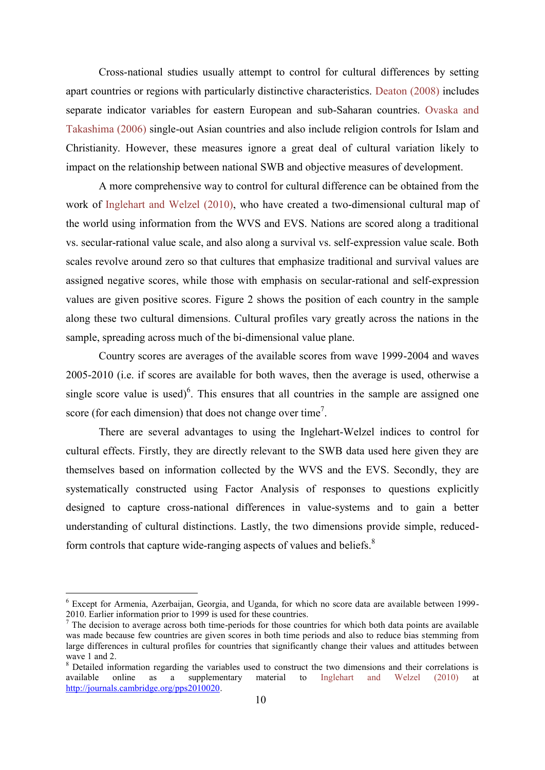Cross-national studies usually attempt to control for cultural differences by setting apart countries or regions with particularly distinctive characteristics. [Deaton \(2008\)](#page-29-8) includes separate indicator variables for eastern European and sub-Saharan countries. [Ovaska and](#page-30-4)  Takashima (2006) single-out Asian countries and also include religion controls for Islam and Christianity. However, these measures ignore a great deal of cultural variation likely to impact on the relationship between national SWB and objective measures of development.

A more comprehensive way to control for cultural difference can be obtained from the work of [Inglehart and Welzel \(2010\),](#page-30-15) who have created a two-dimensional cultural map of the world using information from the WVS and EVS. Nations are scored along a traditional vs. secular-rational value scale, and also along a survival vs. self-expression value scale. Both scales revolve around zero so that cultures that emphasize traditional and survival values are assigned negative scores, while those with emphasis on secular-rational and self-expression values are given positive scores. Figure 2 shows the position of each country in the sample along these two cultural dimensions. Cultural profiles vary greatly across the nations in the sample, spreading across much of the bi-dimensional value plane.

Country scores are averages of the available scores from wave 1999-2004 and waves 2005-2010 (i.e. if scores are available for both waves, then the average is used, otherwise a single score value is used) $6$ . This ensures that all countries in the sample are assigned one score (for each dimension) that does not change over time<sup>7</sup>.

There are several advantages to using the Inglehart-Welzel indices to control for cultural effects. Firstly, they are directly relevant to the SWB data used here given they are themselves based on information collected by the WVS and the EVS. Secondly, they are systematically constructed using Factor Analysis of responses to questions explicitly designed to capture cross-national differences in value-systems and to gain a better understanding of cultural distinctions. Lastly, the two dimensions provide simple, reducedform controls that capture wide-ranging aspects of values and beliefs.<sup>8</sup>

1

<sup>6</sup> Except for Armenia, Azerbaijan, Georgia, and Uganda, for which no score data are available between 1999- 2010. Earlier information prior to 1999 is used for these countries.

 $<sup>7</sup>$  The decision to average across both time-periods for those countries for which both data points are available</sup> was made because few countries are given scores in both time periods and also to reduce bias stemming from large differences in cultural profiles for countries that significantly change their values and attitudes between wave 1 and 2.

<sup>&</sup>lt;sup>8</sup> Detailed information regarding the variables used to construct the two dimensions and their correlations is available online as a supplementary material to [Inglehart and Welzel \(2010\)](#page-30-15) at http://journals.cambridge.org/pps2010020.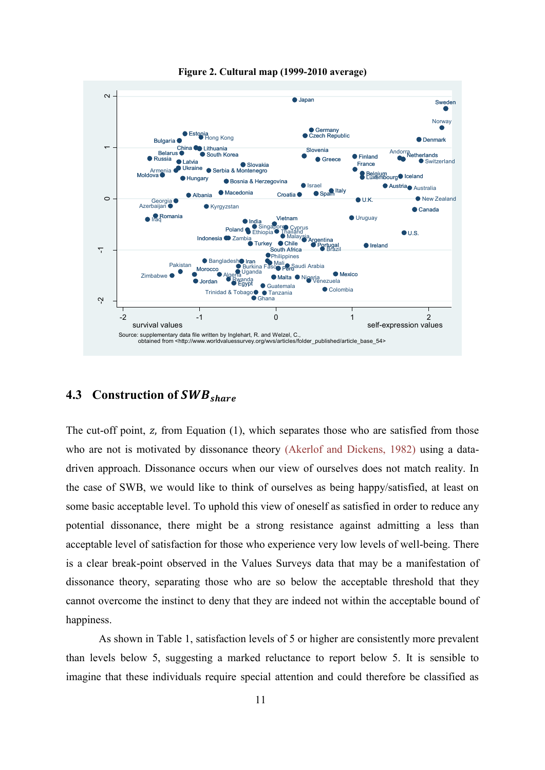

**Figure 2. Cultural map (1999-2010 average)**

## **4.3 Construction of**

The cut-off point, z, from Equation  $(1)$ , which separates those who are satisfied from those who are not is motivated by dissonance theory [\(Akerlof and Dickens, 1982\)](#page-29-15) using a datadriven approach. Dissonance occurs when our view of ourselves does not match reality. In the case of SWB, we would like to think of ourselves as being happy/satisfied, at least on some basic acceptable level. To uphold this view of oneself as satisfied in order to reduce any potential dissonance, there might be a strong resistance against admitting a less than acceptable level of satisfaction for those who experience very low levels of well-being. There is a clear break-point observed in the Values Surveys data that may be a manifestation of dissonance theory, separating those who are so below the acceptable threshold that they cannot overcome the instinct to deny that they are indeed not within the acceptable bound of happiness.

As shown in Table 1, satisfaction levels of 5 or higher are consistently more prevalent than levels below 5, suggesting a marked reluctance to report below 5. It is sensible to imagine that these individuals require special attention and could therefore be classified as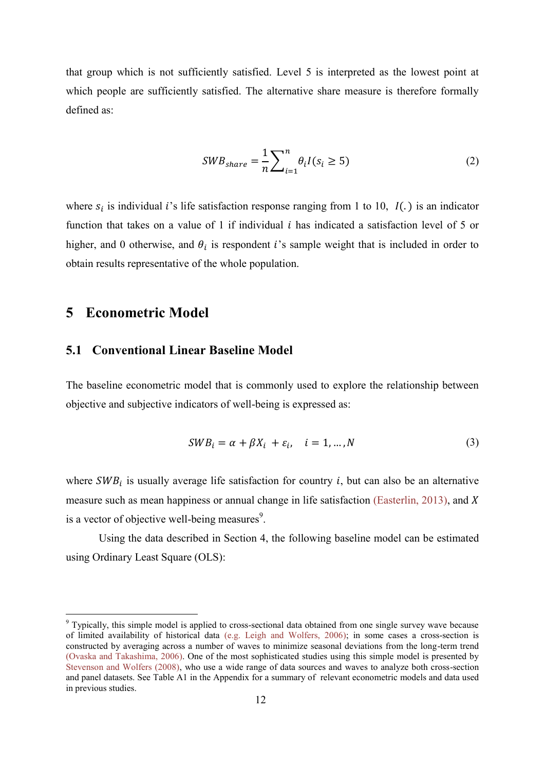that group which is not sufficiently satisfied. Level 5 is interpreted as the lowest point at which people are sufficiently satisfied. The alternative share measure is therefore formally defined as:

$$
SWB_{share} = \frac{1}{n} \sum_{i=1}^{n} \theta_i I(s_i \ge 5)
$$
 (2)

where  $s_i$  is individual *i*'s life satisfaction response ranging from 1 to 10,  $I(.)$  is an indicator function that takes on a value of 1 if individual  $i$  has indicated a satisfaction level of 5 or higher, and 0 otherwise, and  $\theta_i$  is respondent *i*'s sample weight that is included in order to obtain results representative of the whole population.

## <span id="page-11-0"></span>**5 Econometric Model**

1

### **5.1 Conventional Linear Baseline Model**

The baseline econometric model that is commonly used to explore the relationship between objective and subjective indicators of well-being is expressed as:

$$
SWB_i = \alpha + \beta X_i + \varepsilon_i, \quad i = 1, ..., N
$$
 (3)

where  $SWB_i$  is usually average life satisfaction for country *i*, but can also be an alternative measure such as mean happiness or annual change in life satisfaction [\(Easterlin, 2013\)](#page-29-16), and  $X$ is a vector of objective well-being measures $9$ .

Using the data described in Section 4, the following baseline model can be estimated using Ordinary Least Square (OLS):

<sup>&</sup>lt;sup>9</sup> Typically, this simple model is applied to cross-sectional data obtained from one single survey wave because of limited availability of historical data [\(e.g. Leigh and Wolfers, 2006\)](#page-30-8); in some cases a cross-section is constructed by averaging across a number of waves to minimize seasonal deviations from the long-term trend [\(Ovaska and Takashima, 2006\)](#page-30-4). One of the most sophisticated studies using this simple model is presented by [Stevenson and Wolfers \(2008\),](#page-30-5) who use a wide range of data sources and waves to analyze both cross-section and panel datasets. See Table A1 in the Appendix for a summary of relevant econometric models and data used in previous studies.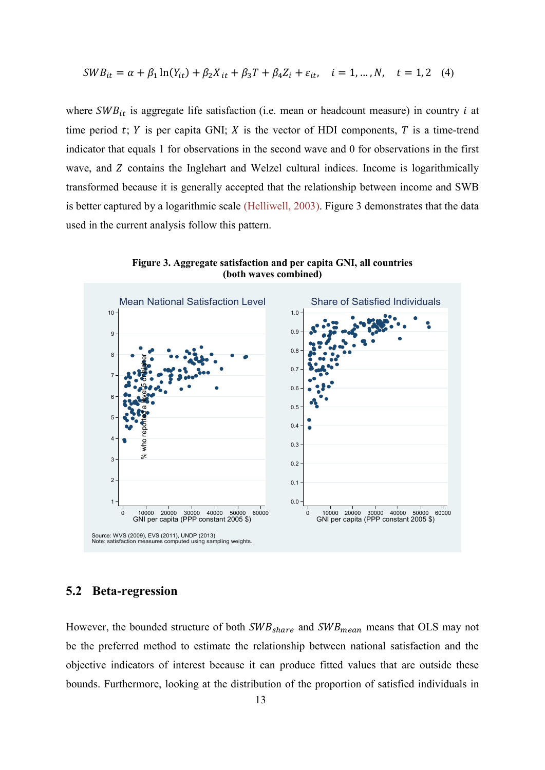$$
SWB_{it} = \alpha + \beta_1 \ln(Y_{it}) + \beta_2 X_{it} + \beta_3 T + \beta_4 Z_i + \varepsilon_{it}, \quad i = 1, ..., N, \quad t = 1, 2 \quad (4)
$$

where  $SWB_{it}$  is aggregate life satisfaction (i.e. mean or headcount measure) in country *i* at time period  $t$ ;  $Y$  is per capita GNI;  $X$  is the vector of HDI components,  $T$  is a time-trend indicator that equals 1 for observations in the second wave and 0 for observations in the first wave, and Z contains the Inglehart and Welzel cultural indices. Income is logarithmically transformed because it is generally accepted that the relationship between income and SWB is better captured by a logarithmic scale [\(Helliwell, 2003\)](#page-30-16). Figure 3 demonstrates that the data used in the current analysis follow this pattern.



**Figure 3. Aggregate satisfaction and per capita GNI, all countries (both waves combined)**

#### **5.2 Beta-regression**

However, the bounded structure of both  $SWB_{share}$  and  $SWB_{mean}$  means that OLS may not be the preferred method to estimate the relationship between national satisfaction and the objective indicators of interest because it can produce fitted values that are outside these bounds. Furthermore, looking at the distribution of the proportion of satisfied individuals in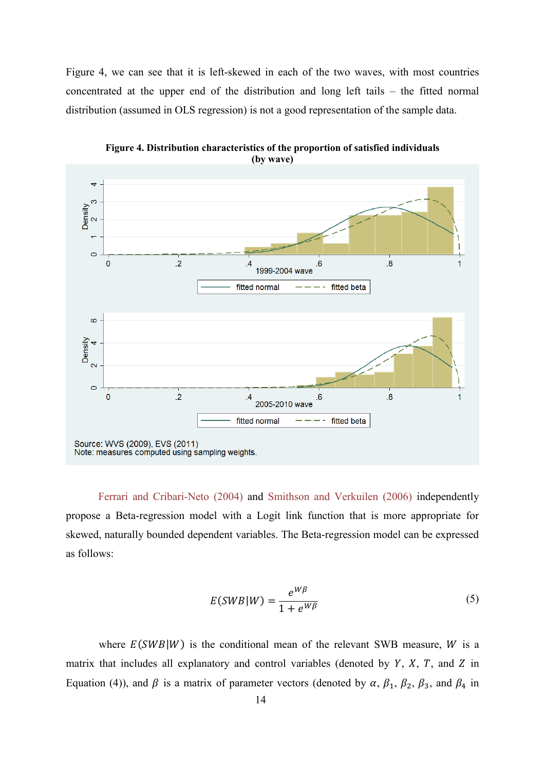Figure 4, we can see that it is left-skewed in each of the two waves, with most countries concentrated at the upper end of the distribution and long left tails – the fitted normal distribution (assumed in OLS regression) is not a good representation of the sample data.



**Figure 4. Distribution characteristics of the proportion of satisfied individuals (by wave)**

[Ferrari and Cribari-Neto \(2004\)](#page-29-17) and [Smithson and Verkuilen \(2006\)](#page-30-17) independently propose a Beta-regression model with a Logit link function that is more appropriate for skewed, naturally bounded dependent variables. The Beta-regression model can be expressed as follows:

$$
E(SWB|W) = \frac{e^{W\beta}}{1 + e^{W\beta}}
$$
\n<sup>(5)</sup>

where  $E(SWB|W)$  is the conditional mean of the relevant SWB measure, *W* is a matrix that includes all explanatory and control variables (denoted by  $Y$ ,  $X$ ,  $T$ , and  $Z$  in Equation (4)), and  $\beta$  is a matrix of parameter vectors (denoted by  $\alpha$ ,  $\beta_1$ ,  $\beta_2$ ,  $\beta_3$ , and  $\beta_4$  in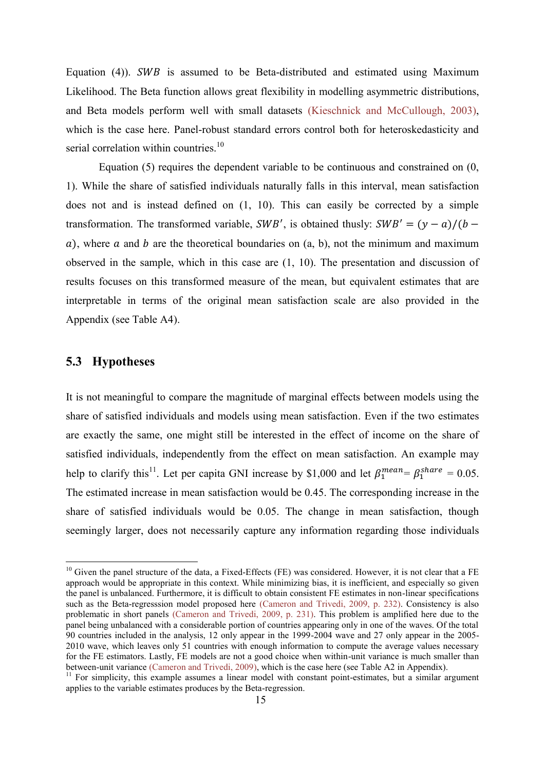Equation (4)).  $SWB$  is assumed to be Beta-distributed and estimated using Maximum Likelihood. The Beta function allows great flexibility in modelling asymmetric distributions, and Beta models perform well with small datasets [\(Kieschnick and McCullough, 2003\)](#page-30-18), which is the case here. Panel-robust standard errors control both for heteroskedasticity and serial correlation within countries.<sup>10</sup>

Equation (5) requires the dependent variable to be continuous and constrained on (0, 1). While the share of satisfied individuals naturally falls in this interval, mean satisfaction does not and is instead defined on (1, 10). This can easily be corrected by a simple transformation. The transformed variable,  $SWB'$ , is obtained thusly:  $SWB' = (y - a)/(b - a)$  $a$ ), where  $a$  and  $b$  are the theoretical boundaries on  $(a, b)$ , not the minimum and maximum observed in the sample, which in this case are (1, 10). The presentation and discussion of results focuses on this transformed measure of the mean, but equivalent estimates that are interpretable in terms of the original mean satisfaction scale are also provided in the Appendix (see Table A4).

#### **5.3 Hypotheses**

1

It is not meaningful to compare the magnitude of marginal effects between models using the share of satisfied individuals and models using mean satisfaction. Even if the two estimates are exactly the same, one might still be interested in the effect of income on the share of satisfied individuals, independently from the effect on mean satisfaction. An example may help to clarify this<sup>11</sup>. Let per capita GNI increase by \$1,000 and let  $\beta_1^{mean} = \beta_1^{share} = 0.05$ . The estimated increase in mean satisfaction would be 0.45. The corresponding increase in the share of satisfied individuals would be 0.05. The change in mean satisfaction, though seemingly larger, does not necessarily capture any information regarding those individuals

 $10$  Given the panel structure of the data, a Fixed-Effects (FE) was considered. However, it is not clear that a FE approach would be appropriate in this context. While minimizing bias, it is inefficient, and especially so given the panel is unbalanced. Furthermore, it is difficult to obtain consistent FE estimates in non-linear specifications such as the Beta-regresssion model proposed here [\(Cameron and Trivedi, 2009, p. 232\)](#page-29-18). Consistency is also problematic in short panels [\(Cameron and Trivedi, 2009, p. 231\)](#page-29-18). This problem is amplified here due to the panel being unbalanced with a considerable portion of countries appearing only in one of the waves. Of the total 90 countries included in the analysis, 12 only appear in the 1999-2004 wave and 27 only appear in the 2005- 2010 wave, which leaves only 51 countries with enough information to compute the average values necessary for the FE estimators. Lastly, FE models are not a good choice when within-unit variance is much smaller than between-unit variance [\(Cameron and Trivedi, 2009\)](#page-29-18), which is the case here (see Table A2 in Appendix).

<sup>&</sup>lt;sup>11</sup> For simplicity, this example assumes a linear model with constant point-estimates, but a similar argument applies to the variable estimates produces by the Beta-regression.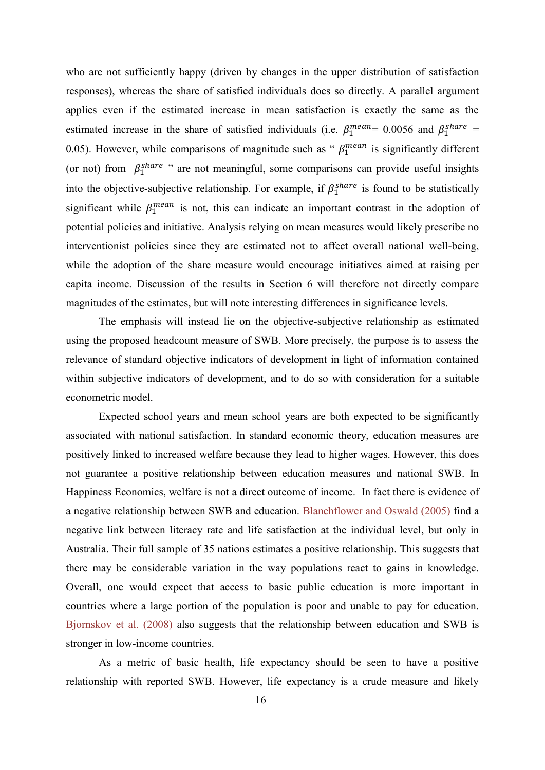who are not sufficiently happy (driven by changes in the upper distribution of satisfaction responses), whereas the share of satisfied individuals does so directly. A parallel argument applies even if the estimated increase in mean satisfaction is exactly the same as the estimated increase in the share of satisfied individuals (i.e.  $\beta_1^{mean} = 0.0056$  and  $\beta_1^{share} =$ 0.05). However, while comparisons of magnitude such as " $\beta_1^{mean}$  is significantly different (or not) from  $\beta_1^{share}$  " are not meaningful, some comparisons can provide useful insights into the objective-subjective relationship. For example, if  $\beta_1^{share}$  is found to be statistically significant while  $\beta_1^{mean}$  is not, this can indicate an important contrast in the adoption of potential policies and initiative. Analysis relying on mean measures would likely prescribe no interventionist policies since they are estimated not to affect overall national well-being, while the adoption of the share measure would encourage initiatives aimed at raising per capita income. Discussion of the results in Section 6 will therefore not directly compare magnitudes of the estimates, but will note interesting differences in significance levels.

The emphasis will instead lie on the objective-subjective relationship as estimated using the proposed headcount measure of SWB. More precisely, the purpose is to assess the relevance of standard objective indicators of development in light of information contained within subjective indicators of development, and to do so with consideration for a suitable econometric model.

Expected school years and mean school years are both expected to be significantly associated with national satisfaction. In standard economic theory, education measures are positively linked to increased welfare because they lead to higher wages. However, this does not guarantee a positive relationship between education measures and national SWB. In Happiness Economics, welfare is not a direct outcome of income. In fact there is evidence of a negative relationship between SWB and education. [Blanchflower and Oswald \(2005\)](#page-29-12) find a negative link between literacy rate and life satisfaction at the individual level, but only in Australia. Their full sample of 35 nations estimates a positive relationship. This suggests that there may be considerable variation in the way populations react to gains in knowledge. Overall, one would expect that access to basic public education is more important in countries where a large portion of the population is poor and unable to pay for education. [Bjornskov et al. \(2008\)](#page-29-19) also suggests that the relationship between education and SWB is stronger in low-income countries.

As a metric of basic health, life expectancy should be seen to have a positive relationship with reported SWB. However, life expectancy is a crude measure and likely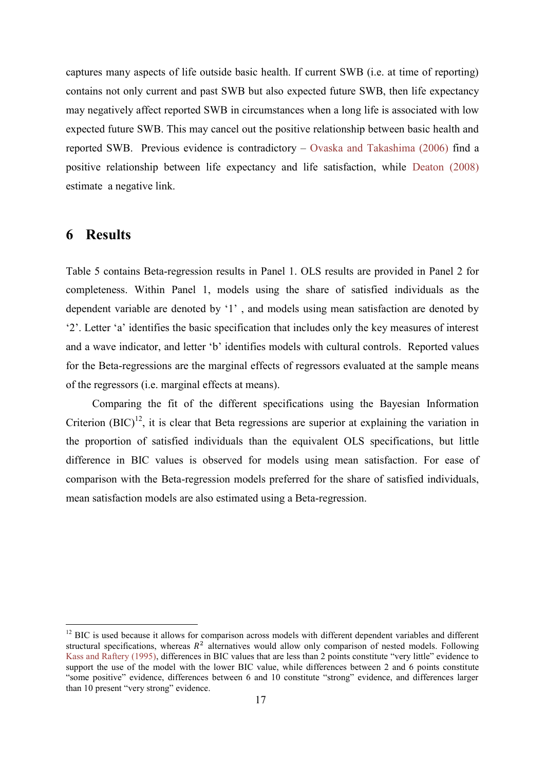captures many aspects of life outside basic health. If current SWB (i.e. at time of reporting) contains not only current and past SWB but also expected future SWB, then life expectancy may negatively affect reported SWB in circumstances when a long life is associated with low expected future SWB. This may cancel out the positive relationship between basic health and reported SWB. Previous evidence is contradictory – [Ovaska and Takashima \(2006\)](#page-30-4) find a positive relationship between life expectancy and life satisfaction, while [Deaton \(2008\)](#page-29-8) estimate a negative link.

## **6 Results**

1

Table 5 contains Beta-regression results in Panel 1. OLS results are provided in Panel 2 for completeness. Within Panel 1, models using the share of satisfied individuals as the dependent variable are denoted by '1' , and models using mean satisfaction are denoted by '2'. Letter 'a' identifies the basic specification that includes only the key measures of interest and a wave indicator, and letter 'b' identifies models with cultural controls. Reported values for the Beta-regressions are the marginal effects of regressors evaluated at the sample means of the regressors (i.e. marginal effects at means).

Comparing the fit of the different specifications using the Bayesian Information Criterion  $(BIC)^{12}$ , it is clear that Beta regressions are superior at explaining the variation in the proportion of satisfied individuals than the equivalent OLS specifications, but little difference in BIC values is observed for models using mean satisfaction. For ease of comparison with the Beta-regression models preferred for the share of satisfied individuals, mean satisfaction models are also estimated using a Beta-regression.

<sup>&</sup>lt;sup>12</sup> BIC is used because it allows for comparison across models with different dependent variables and different structural specifications, whereas  $R^2$  alternatives would allow only comparison of nested models. Following [Kass and Raftery \(1995\)](#page-30-19), differences in BIC values that are less than 2 points constitute "very little" evidence to support the use of the model with the lower BIC value, while differences between 2 and 6 points constitute "some positive" evidence, differences between 6 and 10 constitute "strong" evidence, and differences larger than 10 present "very strong" evidence.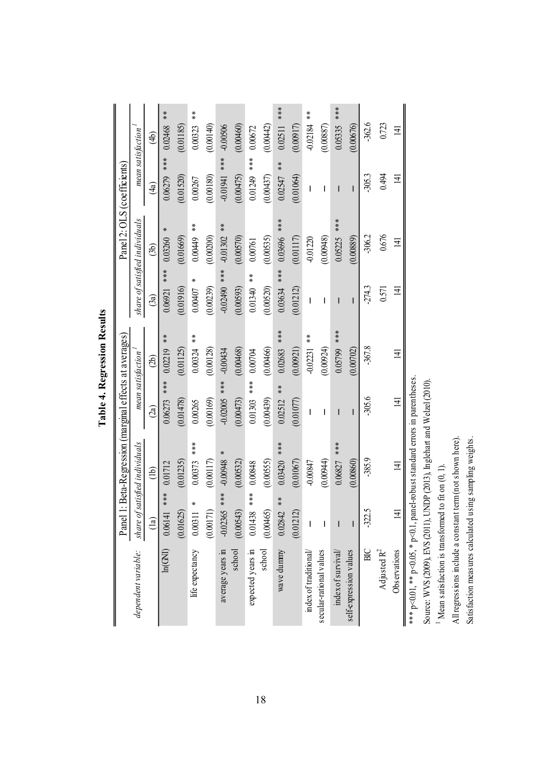|                                                                                      | Panel                     | 1: Beta-Regression (marginal effects at averages) |                                 |                             |                             | Panel 2: OLS (coefficients)    |                   |                                      |
|--------------------------------------------------------------------------------------|---------------------------|---------------------------------------------------|---------------------------------|-----------------------------|-----------------------------|--------------------------------|-------------------|--------------------------------------|
| dependent variable:                                                                  |                           | share of satisfied individuals                    | mean satisfaction               |                             |                             | share of satisfied individuals | mean satisfaction |                                      |
|                                                                                      | $\frac{1}{a}$             | $\overline{\text{d}}$                             | (2a)                            | (2b)                        | (3a)                        | (3b)                           | $\widehat{4a}$    | $\widehat{4}$                        |
| ln(GNI)                                                                              | $***$<br>0.06141          | 0.01712                                           | 0.06273                         | $\frac{*}{*}$<br>0.02219    | $**$<br>0.06921             | 0.03260                        | 0.06279           | **<br>0.02468                        |
|                                                                                      | (0.01625)                 | (0.01235)                                         | (0.01478)                       | (0.01125)                   | (0.01916)                   | (0.01669)                      | (0.01520)         | (0.01185)                            |
| life expectancy                                                                      | $\pmb{\times}$<br>0.00311 | 0.00373                                           | 0.00265                         | $\frac{*}{*}$<br>0.00324    | 0.00407                     | $\frac{*}{*}$<br>0.00449       | 0.00267           | $\stackrel{\times}{\ast}$<br>0.00323 |
|                                                                                      | (0.00171)                 | (0.00117)                                         | (0.00169)                       | (0.00128)                   | (0.00239)                   | (0.00200)                      | (0.00180)         | (0.00140)                            |
| average years in                                                                     | $*$<br>$*$<br>$-0.02365$  | X<br>-0.00948                                     | $-0.02005$ ***                  | $-0.00434$                  | $-0.02490$ ***              | $-0.01302$ **                  | ***<br>-0.01941   | $-0.00506$                           |
| school                                                                               | (0.00543)                 | (0.00532)                                         | (0.00473)                       | (0.00468)                   | (0.00593)                   | (0.00570)                      | (0.00475)         | (0.00460)                            |
| expected years in                                                                    | ***<br>0.01438            | 0.00848                                           | $***$<br>0.01303                | 0.00704                     | $\overset{*}{*}$<br>0.01340 | 0.00761                        | $***$<br>0.01249  | 0.00672                              |
| school                                                                               | (0.00465)                 | (0.00555)                                         | (0.00439)                       | (0.00466)                   | (0.00520)                   | (0.00535)                      | (0.00437)         | (0.00442)                            |
| wave dunnny                                                                          | $\frac{*}{*}$<br>0.02842  | $0.03420$ ***                                     | $\stackrel{*}{\ast}$<br>0.02512 | ****<br>0.02683             | $***$<br>0.03634            | 0.03696 ***                    | $*$<br>0.02547    | ****<br>0.02511                      |
|                                                                                      | (0.01212)                 | (0.01067)                                         | (0.01077)                       | (0.00921)                   | (0.01212)                   | (0.01117)                      | (0.01064)         | (0.00917)                            |
| index of traditional/                                                                |                           | $-0.00847$                                        | $\overline{\phantom{a}}$        | $\frac{*}{*}$<br>$-0.02231$ | $\overline{1}$              | $-0.01220$                     | $\overline{1}$    | $-0.02184$ **                        |
| secular-rational values                                                              | ı                         | (0.00944)                                         | I                               | (0.00924)                   | I                           | (0.00948)                      | T                 | (0.00887)                            |
| index of survival/                                                                   |                           | ***<br>0.06827                                    | I                               | ***<br>0.05799              |                             | ***<br>0.05225                 |                   | ***<br>0.05335                       |
| self-expression values                                                               |                           | (0.0860)                                          | I                               | (0.00702)                   | $\overline{1}$              | (0.00889)                      | T                 | (0.00676)                            |
| ВC                                                                                   | 5<br>-322.                | $-385.9$                                          | $-305.6$                        | $-367.8$                    | $-274.3$                    | $-306.2$                       | $-305.3$          | $-362.6$                             |
| Adjusted R <sup>2</sup>                                                              |                           |                                                   |                                 |                             | 0.571                       | 0.676                          | 0.494             | 0.723                                |
| Observations                                                                         |                           | $\overline{4}$                                    | $\overline{14}$                 | $\overline{4}$              | $\overline{4}$              | $\Xi$                          | $\overline{4}$    | $\overline{4}$                       |
| *** $p<0.01$ , ** $p<0.05$ , * $p<0.1$ , panel-robust standard errors in parentheses |                           |                                                   |                                 |                             |                             |                                |                   |                                      |
| Source: WVS (2009), EVS (2011), UNDP (2013), Inglehart and Welzel (2010)             |                           |                                                   |                                 |                             |                             |                                |                   |                                      |

**Table 4. Regression Results Table 4. Regression Results**

 $\overline{\phantom{0}}$ 

Mean satisfaction is transformed to fit on (0, 1).

All regressions include a constant term (not shown here). Satisfaction measures calculated using sampling weights.

All regressions include a constant term (not shown here). Satisfaction measures calculated using sampling weights.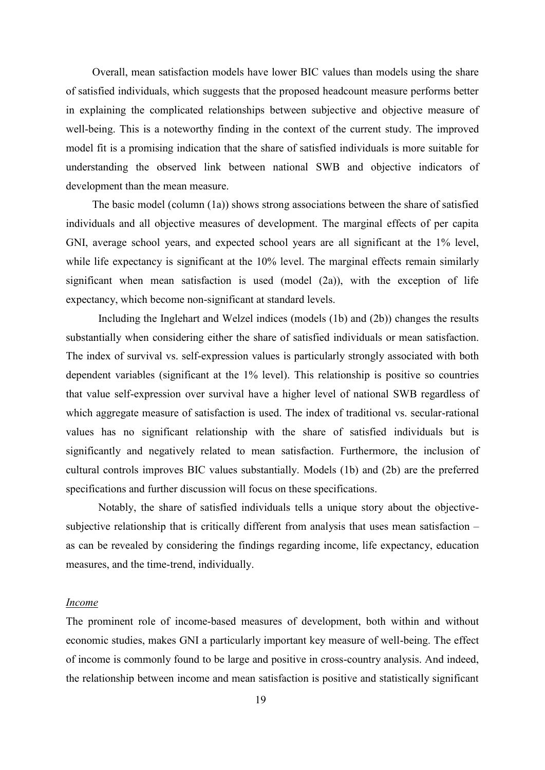Overall, mean satisfaction models have lower BIC values than models using the share of satisfied individuals, which suggests that the proposed headcount measure performs better in explaining the complicated relationships between subjective and objective measure of well-being. This is a noteworthy finding in the context of the current study. The improved model fit is a promising indication that the share of satisfied individuals is more suitable for understanding the observed link between national SWB and objective indicators of development than the mean measure.

The basic model (column (1a)) shows strong associations between the share of satisfied individuals and all objective measures of development. The marginal effects of per capita GNI, average school years, and expected school years are all significant at the 1% level, while life expectancy is significant at the 10% level. The marginal effects remain similarly significant when mean satisfaction is used (model  $(2a)$ ), with the exception of life expectancy, which become non-significant at standard levels.

Including the Inglehart and Welzel indices (models (1b) and (2b)) changes the results substantially when considering either the share of satisfied individuals or mean satisfaction. The index of survival vs. self-expression values is particularly strongly associated with both dependent variables (significant at the 1% level). This relationship is positive so countries that value self-expression over survival have a higher level of national SWB regardless of which aggregate measure of satisfaction is used. The index of traditional vs. secular-rational values has no significant relationship with the share of satisfied individuals but is significantly and negatively related to mean satisfaction. Furthermore, the inclusion of cultural controls improves BIC values substantially. Models (1b) and (2b) are the preferred specifications and further discussion will focus on these specifications.

Notably, the share of satisfied individuals tells a unique story about the objectivesubjective relationship that is critically different from analysis that uses mean satisfaction – as can be revealed by considering the findings regarding income, life expectancy, education measures, and the time-trend, individually.

#### *Income*

The prominent role of income-based measures of development, both within and without economic studies, makes GNI a particularly important key measure of well-being. The effect of income is commonly found to be large and positive in cross-country analysis. And indeed, the relationship between income and mean satisfaction is positive and statistically significant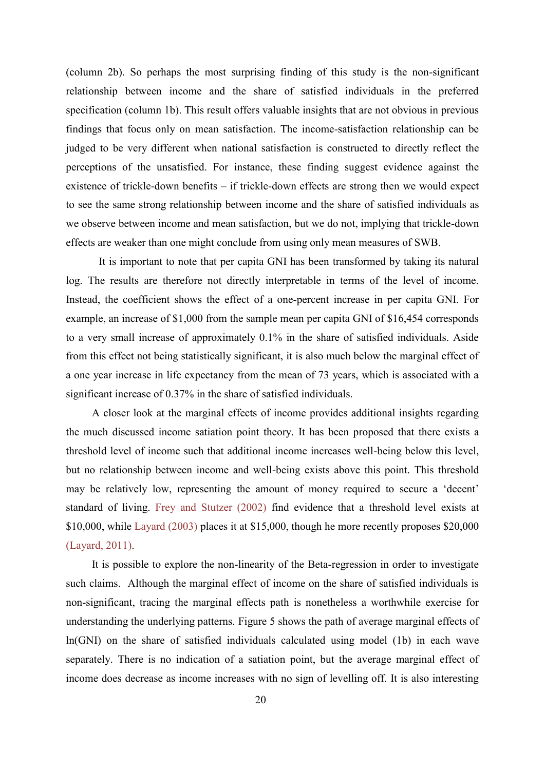(column 2b). So perhaps the most surprising finding of this study is the non-significant relationship between income and the share of satisfied individuals in the preferred specification (column 1b). This result offers valuable insights that are not obvious in previous findings that focus only on mean satisfaction. The income-satisfaction relationship can be judged to be very different when national satisfaction is constructed to directly reflect the perceptions of the unsatisfied. For instance, these finding suggest evidence against the existence of trickle-down benefits – if trickle-down effects are strong then we would expect to see the same strong relationship between income and the share of satisfied individuals as we observe between income and mean satisfaction, but we do not, implying that trickle-down effects are weaker than one might conclude from using only mean measures of SWB.

It is important to note that per capita GNI has been transformed by taking its natural log. The results are therefore not directly interpretable in terms of the level of income. Instead, the coefficient shows the effect of a one-percent increase in per capita GNI. For example, an increase of \$1,000 from the sample mean per capita GNI of \$16,454 corresponds to a very small increase of approximately 0.1% in the share of satisfied individuals. Aside from this effect not being statistically significant, it is also much below the marginal effect of a one year increase in life expectancy from the mean of 73 years, which is associated with a significant increase of 0.37% in the share of satisfied individuals.

A closer look at the marginal effects of income provides additional insights regarding the much discussed income satiation point theory. It has been proposed that there exists a threshold level of income such that additional income increases well-being below this level, but no relationship between income and well-being exists above this point. This threshold may be relatively low, representing the amount of money required to secure a 'decent' standard of living. [Frey and Stutzer \(2002\)](#page-29-20) find evidence that a threshold level exists at \$10,000, while [Layard \(2003\)](#page-30-20) places it at \$15,000, though he more recently proposes \$20,000 [\(Layard, 2011\)](#page-30-21).

It is possible to explore the non-linearity of the Beta-regression in order to investigate such claims. Although the marginal effect of income on the share of satisfied individuals is non-significant, tracing the marginal effects path is nonetheless a worthwhile exercise for understanding the underlying patterns. Figure 5 shows the path of average marginal effects of ln(GNI) on the share of satisfied individuals calculated using model (1b) in each wave separately. There is no indication of a satiation point, but the average marginal effect of income does decrease as income increases with no sign of levelling off. It is also interesting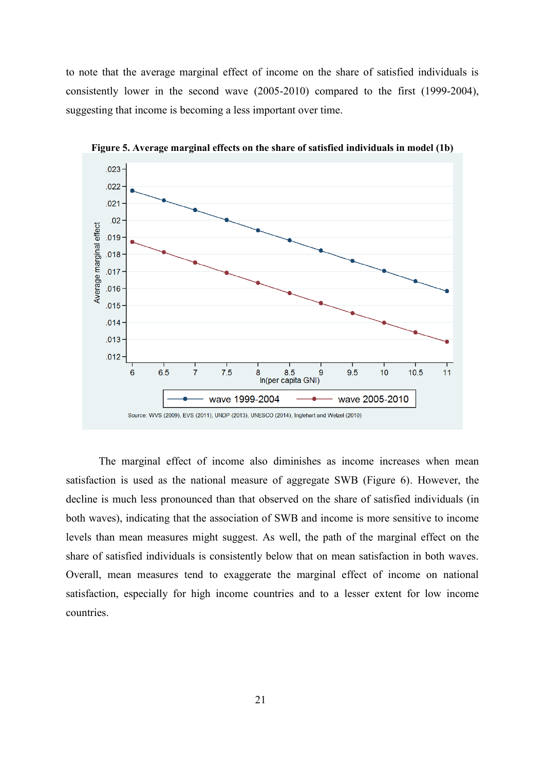to note that the average marginal effect of income on the share of satisfied individuals is consistently lower in the second wave (2005-2010) compared to the first (1999-2004), suggesting that income is becoming a less important over time.



**Figure 5. Average marginal effects on the share of satisfied individuals in model (1b)**

The marginal effect of income also diminishes as income increases when mean satisfaction is used as the national measure of aggregate SWB (Figure 6). However, the decline is much less pronounced than that observed on the share of satisfied individuals (in both waves), indicating that the association of SWB and income is more sensitive to income levels than mean measures might suggest. As well, the path of the marginal effect on the share of satisfied individuals is consistently below that on mean satisfaction in both waves. Overall, mean measures tend to exaggerate the marginal effect of income on national satisfaction, especially for high income countries and to a lesser extent for low income countries.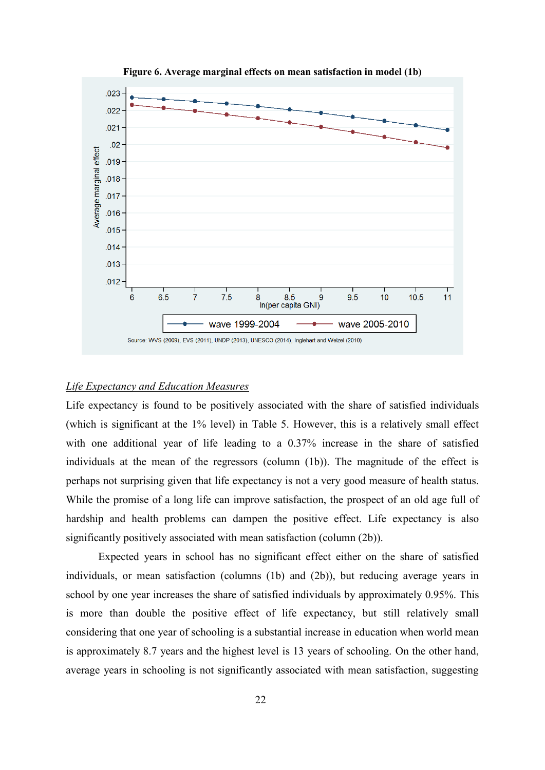

**Figure 6. Average marginal effects on mean satisfaction in model (1b)**

### *Life Expectancy and Education Measures*

Life expectancy is found to be positively associated with the share of satisfied individuals (which is significant at the 1% level) in Table 5. However, this is a relatively small effect with one additional year of life leading to a 0.37% increase in the share of satisfied individuals at the mean of the regressors (column (1b)). The magnitude of the effect is perhaps not surprising given that life expectancy is not a very good measure of health status. While the promise of a long life can improve satisfaction, the prospect of an old age full of hardship and health problems can dampen the positive effect. Life expectancy is also significantly positively associated with mean satisfaction (column (2b)).

Expected years in school has no significant effect either on the share of satisfied individuals, or mean satisfaction (columns (1b) and (2b)), but reducing average years in school by one year increases the share of satisfied individuals by approximately 0.95%. This is more than double the positive effect of life expectancy, but still relatively small considering that one year of schooling is a substantial increase in education when world mean is approximately 8.7 years and the highest level is 13 years of schooling. On the other hand, average years in schooling is not significantly associated with mean satisfaction, suggesting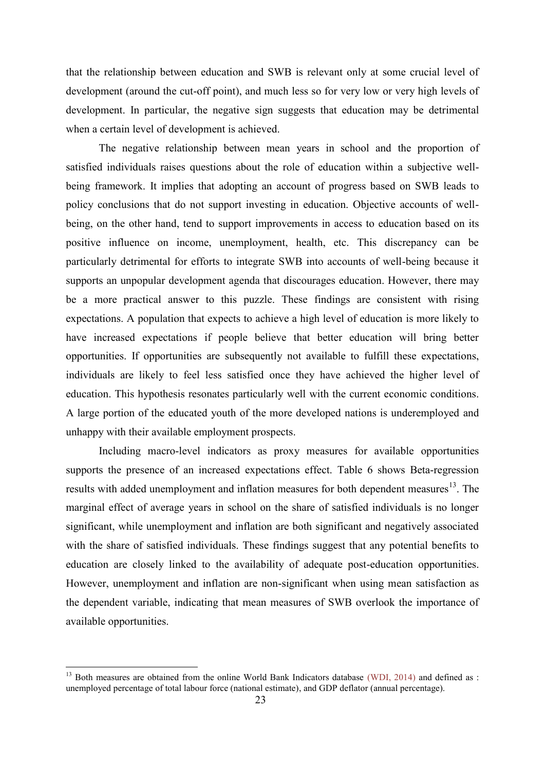that the relationship between education and SWB is relevant only at some crucial level of development (around the cut-off point), and much less so for very low or very high levels of development. In particular, the negative sign suggests that education may be detrimental when a certain level of development is achieved.

The negative relationship between mean years in school and the proportion of satisfied individuals raises questions about the role of education within a subjective wellbeing framework. It implies that adopting an account of progress based on SWB leads to policy conclusions that do not support investing in education. Objective accounts of wellbeing, on the other hand, tend to support improvements in access to education based on its positive influence on income, unemployment, health, etc. This discrepancy can be particularly detrimental for efforts to integrate SWB into accounts of well-being because it supports an unpopular development agenda that discourages education. However, there may be a more practical answer to this puzzle. These findings are consistent with rising expectations. A population that expects to achieve a high level of education is more likely to have increased expectations if people believe that better education will bring better opportunities. If opportunities are subsequently not available to fulfill these expectations, individuals are likely to feel less satisfied once they have achieved the higher level of education. This hypothesis resonates particularly well with the current economic conditions. A large portion of the educated youth of the more developed nations is underemployed and unhappy with their available employment prospects.

Including macro-level indicators as proxy measures for available opportunities supports the presence of an increased expectations effect. Table 6 shows Beta-regression results with added unemployment and inflation measures for both dependent measures<sup>13</sup>. The marginal effect of average years in school on the share of satisfied individuals is no longer significant, while unemployment and inflation are both significant and negatively associated with the share of satisfied individuals. These findings suggest that any potential benefits to education are closely linked to the availability of adequate post-education opportunities. However, unemployment and inflation are non-significant when using mean satisfaction as the dependent variable, indicating that mean measures of SWB overlook the importance of available opportunities.

1

<sup>13</sup> Both measures are obtained from the online World Bank Indicators database [\(WDI, 2014\)](#page-30-22) and defined as : unemployed percentage of total labour force (national estimate), and GDP deflator (annual percentage).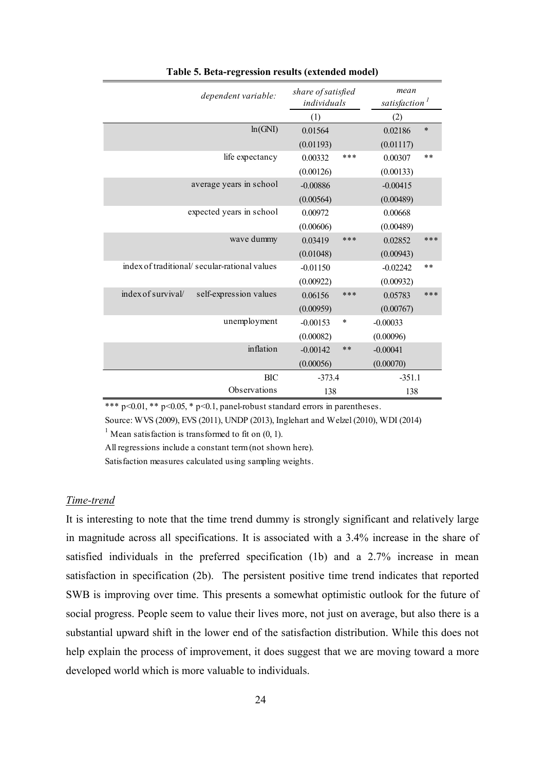| dependent variable:                          | share of satisfied<br>individuals |       | mean<br>satisfaction <sup>1</sup> |        |
|----------------------------------------------|-----------------------------------|-------|-----------------------------------|--------|
|                                              | (1)                               |       | (2)                               |        |
| ln(GNI)                                      | 0.01564                           |       | 0.02186                           | $\ast$ |
|                                              | (0.01193)                         |       | (0.01117)                         |        |
| life expectancy                              | 0.00332                           | ***   | 0.00307                           | **     |
|                                              | (0.00126)                         |       | (0.00133)                         |        |
| average years in school                      | $-0.00886$                        |       | $-0.00415$                        |        |
|                                              | (0.00564)                         |       | (0.00489)                         |        |
| expected years in school                     | 0.00972                           |       | 0.00668                           |        |
|                                              | (0.00606)                         |       | (0.00489)                         |        |
| wave dummy                                   | 0.03419                           | ***   | 0.02852                           | ***    |
|                                              | (0.01048)                         |       | (0.00943)                         |        |
| index of traditional/secular-rational values | $-0.01150$                        |       | $-0.02242$                        | **     |
|                                              | (0.00922)                         |       | (0.00932)                         |        |
| index of survival/<br>self-expression values | 0.06156                           | ***   | 0.05783                           | ***    |
|                                              | (0.00959)                         |       | (0.00767)                         |        |
| unemployment                                 | $-0.00153$                        | *     | $-0.00033$                        |        |
|                                              | (0.00082)                         |       | (0.00096)                         |        |
| inflation                                    | $-0.00142$                        | $* *$ | $-0.00041$                        |        |
|                                              | (0.00056)                         |       | (0.00070)                         |        |
| <b>BIC</b>                                   | $-373.4$                          |       | $-351.1$                          |        |
| Observations                                 | 138                               |       | 138                               |        |

**Table 5. Beta-regression results (extended model)**

\*\*\* p<0.01, \*\* p<0.05, \* p<0.1, panel-robust standard errors in parentheses.

Source: WVS (2009), EVS (2011), UNDP (2013), Inglehart and Welzel (2010), WDI (2014)

<sup>1</sup> Mean satisfaction is transformed to fit on  $(0, 1)$ .

All regressions include a constant term (not shown here).

Satisfaction measures calculated using sampling weights.

#### *Time-trend*

It is interesting to note that the time trend dummy is strongly significant and relatively large in magnitude across all specifications. It is associated with a 3.4% increase in the share of satisfied individuals in the preferred specification (1b) and a 2.7% increase in mean satisfaction in specification (2b). The persistent positive time trend indicates that reported SWB is improving over time. This presents a somewhat optimistic outlook for the future of social progress. People seem to value their lives more, not just on average, but also there is a substantial upward shift in the lower end of the satisfaction distribution. While this does not help explain the process of improvement, it does suggest that we are moving toward a more developed world which is more valuable to individuals.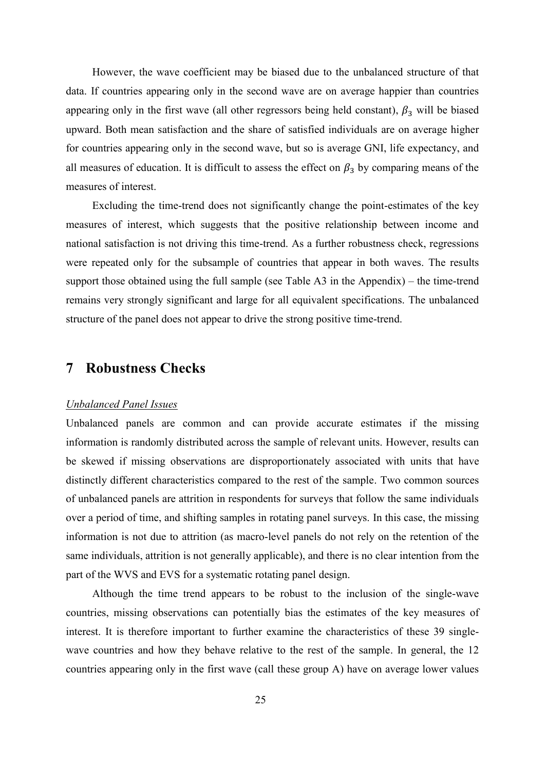However, the wave coefficient may be biased due to the unbalanced structure of that data. If countries appearing only in the second wave are on average happier than countries appearing only in the first wave (all other regressors being held constant),  $\beta_3$  will be biased upward. Both mean satisfaction and the share of satisfied individuals are on average higher for countries appearing only in the second wave, but so is average GNI, life expectancy, and all measures of education. It is difficult to assess the effect on  $\beta_3$  by comparing means of the measures of interest.

Excluding the time-trend does not significantly change the point-estimates of the key measures of interest, which suggests that the positive relationship between income and national satisfaction is not driving this time-trend. As a further robustness check, regressions were repeated only for the subsample of countries that appear in both waves. The results support those obtained using the full sample (see Table A3 in the Appendix) – the time-trend remains very strongly significant and large for all equivalent specifications. The unbalanced structure of the panel does not appear to drive the strong positive time-trend.

## **7 Robustness Checks**

#### *Unbalanced Panel Issues*

Unbalanced panels are common and can provide accurate estimates if the missing information is randomly distributed across the sample of relevant units. However, results can be skewed if missing observations are disproportionately associated with units that have distinctly different characteristics compared to the rest of the sample. Two common sources of unbalanced panels are attrition in respondents for surveys that follow the same individuals over a period of time, and shifting samples in rotating panel surveys. In this case, the missing information is not due to attrition (as macro-level panels do not rely on the retention of the same individuals, attrition is not generally applicable), and there is no clear intention from the part of the WVS and EVS for a systematic rotating panel design.

Although the time trend appears to be robust to the inclusion of the single-wave countries, missing observations can potentially bias the estimates of the key measures of interest. It is therefore important to further examine the characteristics of these 39 singlewave countries and how they behave relative to the rest of the sample. In general, the 12 countries appearing only in the first wave (call these group A) have on average lower values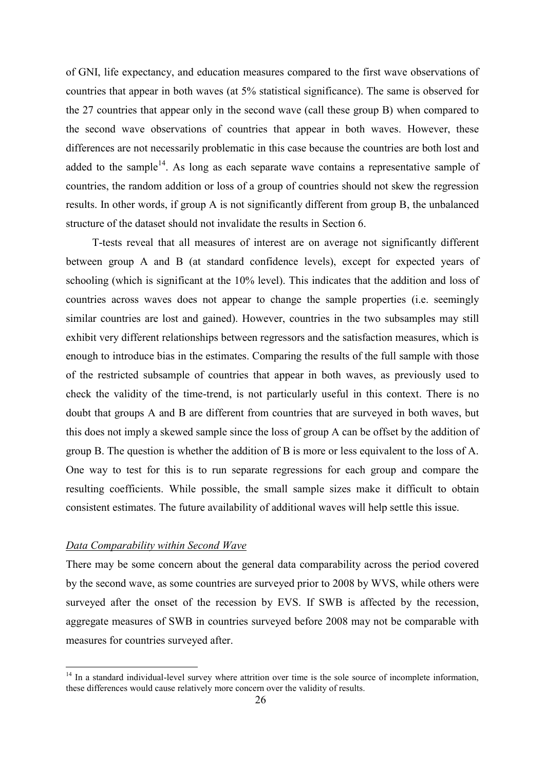of GNI, life expectancy, and education measures compared to the first wave observations of countries that appear in both waves (at 5% statistical significance). The same is observed for the 27 countries that appear only in the second wave (call these group B) when compared to the second wave observations of countries that appear in both waves. However, these differences are not necessarily problematic in this case because the countries are both lost and added to the sample<sup>14</sup>. As long as each separate wave contains a representative sample of countries, the random addition or loss of a group of countries should not skew the regression results. In other words, if group A is not significantly different from group B, the unbalanced structure of the dataset should not invalidate the results in Section 6.

T-tests reveal that all measures of interest are on average not significantly different between group A and B (at standard confidence levels), except for expected years of schooling (which is significant at the 10% level). This indicates that the addition and loss of countries across waves does not appear to change the sample properties (i.e. seemingly similar countries are lost and gained). However, countries in the two subsamples may still exhibit very different relationships between regressors and the satisfaction measures, which is enough to introduce bias in the estimates. Comparing the results of the full sample with those of the restricted subsample of countries that appear in both waves, as previously used to check the validity of the time-trend, is not particularly useful in this context. There is no doubt that groups A and B are different from countries that are surveyed in both waves, but this does not imply a skewed sample since the loss of group A can be offset by the addition of group B. The question is whether the addition of B is more or less equivalent to the loss of A. One way to test for this is to run separate regressions for each group and compare the resulting coefficients. While possible, the small sample sizes make it difficult to obtain consistent estimates. The future availability of additional waves will help settle this issue.

#### *Data Comparability within Second Wave*

1

There may be some concern about the general data comparability across the period covered by the second wave, as some countries are surveyed prior to 2008 by WVS, while others were surveyed after the onset of the recession by EVS. If SWB is affected by the recession, aggregate measures of SWB in countries surveyed before 2008 may not be comparable with measures for countries surveyed after.

<sup>&</sup>lt;sup>14</sup> In a standard individual-level survey where attrition over time is the sole source of incomplete information, these differences would cause relatively more concern over the validity of results.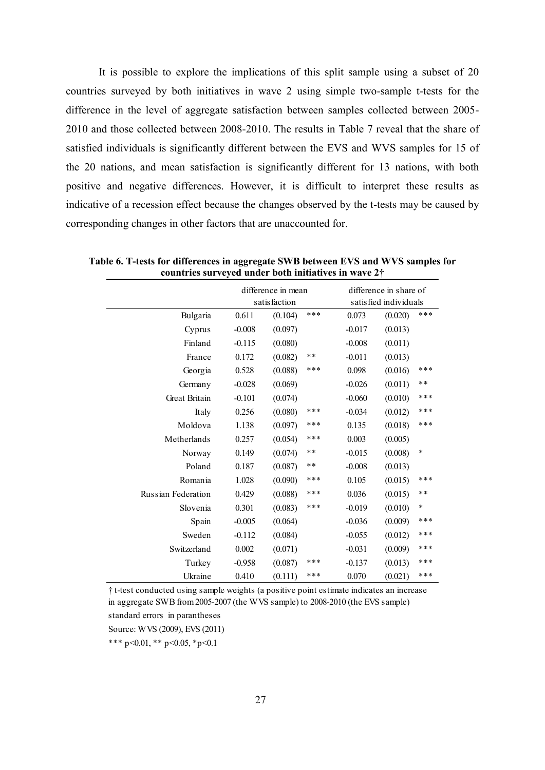It is possible to explore the implications of this split sample using a subset of 20 countries surveyed by both initiatives in wave 2 using simple two-sample t-tests for the difference in the level of aggregate satisfaction between samples collected between 2005- 2010 and those collected between 2008-2010. The results in Table 7 reveal that the share of satisfied individuals is significantly different between the EVS and WVS samples for 15 of the 20 nations, and mean satisfaction is significantly different for 13 nations, with both positive and negative differences. However, it is difficult to interpret these results as indicative of a recession effect because the changes observed by the t-tests may be caused by corresponding changes in other factors that are unaccounted for.

|                    |          | difference in mean<br>satisfaction |     |          | difference in share of<br>satisfied individuals |        |
|--------------------|----------|------------------------------------|-----|----------|-------------------------------------------------|--------|
| Bulgaria           | 0.611    | (0.104)                            | *** | 0.073    | (0.020)                                         | ***    |
| Cyprus             | $-0.008$ | (0.097)                            |     | $-0.017$ | (0.013)                                         |        |
| Finland            | $-0.115$ | (0.080)                            |     | $-0.008$ | (0.011)                                         |        |
| France             | 0.172    | (0.082)                            | **  | $-0.011$ | (0.013)                                         |        |
| Georgia            | 0.528    | (0.088)                            | *** | 0.098    | (0.016)                                         | ***    |
| Germany            | $-0.028$ | (0.069)                            |     | $-0.026$ | (0.011)                                         | $***$  |
| Great Britain      | $-0.101$ | (0.074)                            |     | $-0.060$ | (0.010)                                         | ***    |
| Italy              | 0.256    | (0.080)                            | *** | $-0.034$ | (0.012)                                         | ***    |
| Moldova            | 1.138    | (0.097)                            | *** | 0.135    | (0.018)                                         | ***    |
| Metherlands        | 0.257    | (0.054)                            | *** | 0.003    | (0.005)                                         |        |
| Norway             | 0.149    | (0.074)                            | **  | $-0.015$ | (0.008)                                         | $\ast$ |
| Poland             | 0.187    | (0.087)                            | **  | $-0.008$ | (0.013)                                         |        |
| Romania            | 1.028    | (0.090)                            | *** | 0.105    | (0.015)                                         | ***    |
| Russian Federation | 0.429    | (0.088)                            | *** | 0.036    | (0.015)                                         | $* *$  |
| Slovenia           | 0.301    | (0.083)                            | *** | $-0.019$ | (0.010)                                         | $\ast$ |
| Spain              | $-0.005$ | (0.064)                            |     | $-0.036$ | (0.009)                                         | ***    |
| Sweden             | $-0.112$ | (0.084)                            |     | $-0.055$ | (0.012)                                         | ***    |
| Switzerland        | 0.002    | (0.071)                            |     | $-0.031$ | (0.009)                                         | ***    |
| Turkey             | $-0.958$ | (0.087)                            | *** | $-0.137$ | (0.013)                                         | ***    |
| Ukraine            | 0.410    | (0.111)                            | *** | 0.070    | (0.021)                                         | ***    |

**Table 6. T-tests for differences in aggregate SWB between EVS and WVS samples for countries surveyed under both initiatives in wave 2†**

† t-test conducted using sample weights (a positive point estimate indicates an increase in aggregate SWB from 2005-2007 (the WVS sample) to 2008-2010 (the EVS sample)

standard errors in parantheses

Source: WVS (2009), EVS (2011)

\*\*\* p<0.01, \*\* p<0.05, \*p<0.1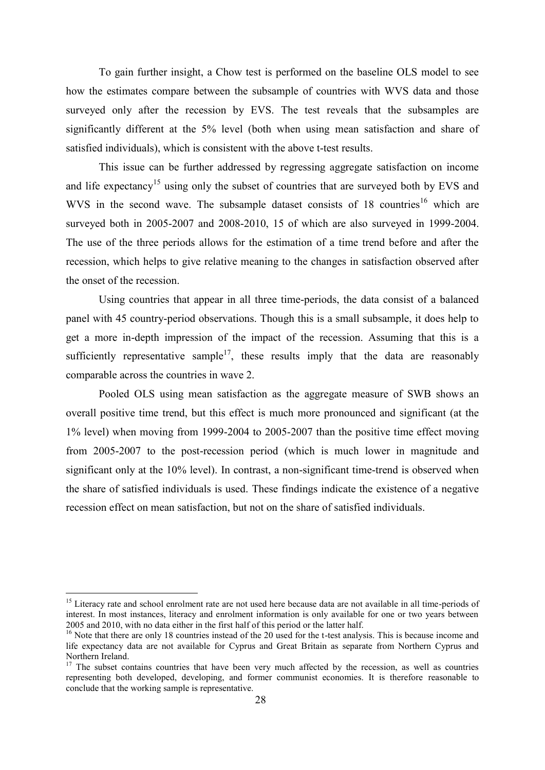To gain further insight, a Chow test is performed on the baseline OLS model to see how the estimates compare between the subsample of countries with WVS data and those surveyed only after the recession by EVS. The test reveals that the subsamples are significantly different at the 5% level (both when using mean satisfaction and share of satisfied individuals), which is consistent with the above t-test results.

This issue can be further addressed by regressing aggregate satisfaction on income and life expectancy<sup>15</sup> using only the subset of countries that are surveyed both by EVS and WVS in the second wave. The subsample dataset consists of  $18$  countries<sup>16</sup> which are surveyed both in 2005-2007 and 2008-2010, 15 of which are also surveyed in 1999-2004. The use of the three periods allows for the estimation of a time trend before and after the recession, which helps to give relative meaning to the changes in satisfaction observed after the onset of the recession.

Using countries that appear in all three time-periods, the data consist of a balanced panel with 45 country-period observations. Though this is a small subsample, it does help to get a more in-depth impression of the impact of the recession. Assuming that this is a sufficiently representative sample<sup>17</sup>, these results imply that the data are reasonably comparable across the countries in wave 2.

Pooled OLS using mean satisfaction as the aggregate measure of SWB shows an overall positive time trend, but this effect is much more pronounced and significant (at the 1% level) when moving from 1999-2004 to 2005-2007 than the positive time effect moving from 2005-2007 to the post-recession period (which is much lower in magnitude and significant only at the 10% level). In contrast, a non-significant time-trend is observed when the share of satisfied individuals is used. These findings indicate the existence of a negative recession effect on mean satisfaction, but not on the share of satisfied individuals.

1

<sup>&</sup>lt;sup>15</sup> Literacy rate and school enrolment rate are not used here because data are not available in all time-periods of interest. In most instances, literacy and enrolment information is only available for one or two years between 2005 and 2010, with no data either in the first half of this period or the latter half.

<sup>&</sup>lt;sup>16</sup> Note that there are only 18 countries instead of the 20 used for the t-test analysis. This is because income and life expectancy data are not available for Cyprus and Great Britain as separate from Northern Cyprus and Northern Ireland.

<sup>&</sup>lt;sup>17</sup> The subset contains countries that have been very much affected by the recession, as well as countries representing both developed, developing, and former communist economies. It is therefore reasonable to conclude that the working sample is representative.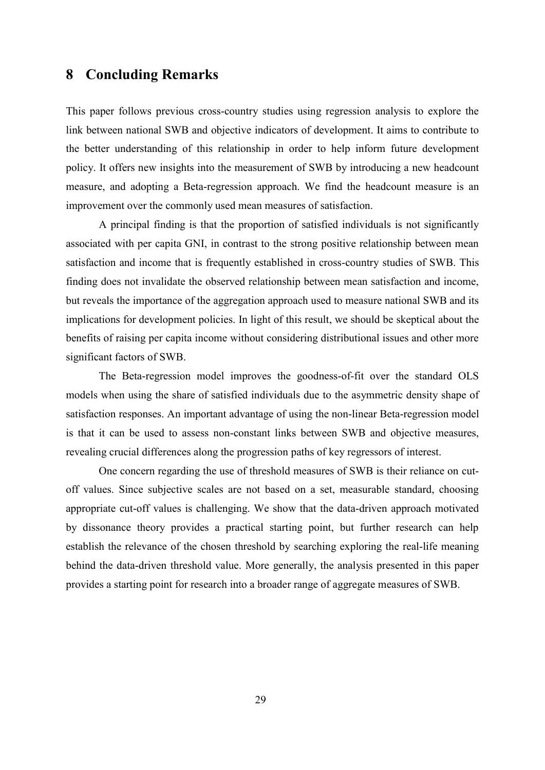## <span id="page-28-0"></span>**8 Concluding Remarks**

This paper follows previous cross-country studies using regression analysis to explore the link between national SWB and objective indicators of development. It aims to contribute to the better understanding of this relationship in order to help inform future development policy. It offers new insights into the measurement of SWB by introducing a new headcount measure, and adopting a Beta-regression approach. We find the headcount measure is an improvement over the commonly used mean measures of satisfaction.

A principal finding is that the proportion of satisfied individuals is not significantly associated with per capita GNI, in contrast to the strong positive relationship between mean satisfaction and income that is frequently established in cross-country studies of SWB. This finding does not invalidate the observed relationship between mean satisfaction and income, but reveals the importance of the aggregation approach used to measure national SWB and its implications for development policies. In light of this result, we should be skeptical about the benefits of raising per capita income without considering distributional issues and other more significant factors of SWB.

The Beta-regression model improves the goodness-of-fit over the standard OLS models when using the share of satisfied individuals due to the asymmetric density shape of satisfaction responses. An important advantage of using the non-linear Beta-regression model is that it can be used to assess non-constant links between SWB and objective measures, revealing crucial differences along the progression paths of key regressors of interest.

One concern regarding the use of threshold measures of SWB is their reliance on cutoff values. Since subjective scales are not based on a set, measurable standard, choosing appropriate cut-off values is challenging. We show that the data-driven approach motivated by dissonance theory provides a practical starting point, but further research can help establish the relevance of the chosen threshold by searching exploring the real-life meaning behind the data-driven threshold value. More generally, the analysis presented in this paper provides a starting point for research into a broader range of aggregate measures of SWB.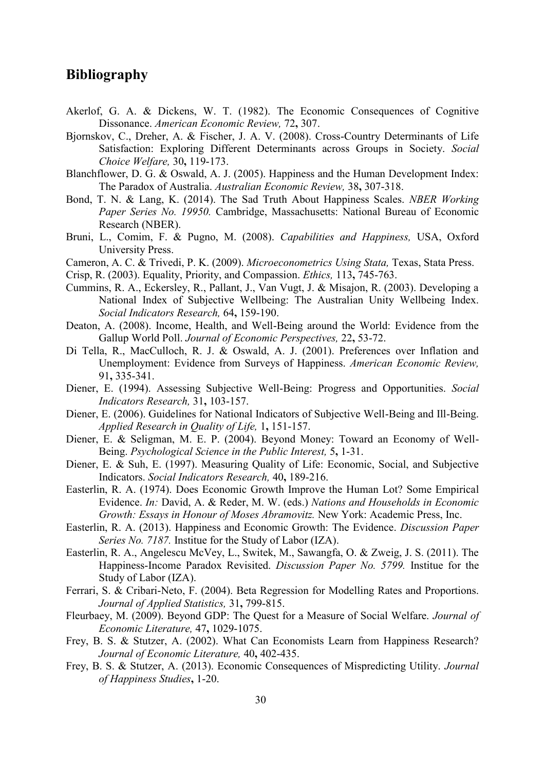## **Bibliography**

- <span id="page-29-23"></span><span id="page-29-15"></span>Akerlof, G. A. & Dickens, W. T. (1982). The Economic Consequences of Cognitive Dissonance. *American Economic Review,* 72**,** 307.
- <span id="page-29-24"></span><span id="page-29-19"></span>Bjornskov, C., Dreher, A. & Fischer, J. A. V. (2008). Cross-Country Determinants of Life Satisfaction: Exploring Different Determinants across Groups in Society. *Social Choice Welfare,* 30**,** 119-173.
- <span id="page-29-12"></span>Blanchflower, D. G. & Oswald, A. J. (2005). Happiness and the Human Development Index: The Paradox of Australia. *Australian Economic Review,* 38**,** 307-318.
- <span id="page-29-9"></span>Bond, T. N. & Lang, K. (2014). The Sad Truth About Happiness Scales. *NBER Working Paper Series No. 19950.* Cambridge, Massachusetts: National Bureau of Economic Research (NBER).
- <span id="page-29-2"></span>Bruni, L., Comim, F. & Pugno, M. (2008). *Capabilities and Happiness,* USA, Oxford University Press.
- <span id="page-29-21"></span><span id="page-29-18"></span>Cameron, A. C. & Trivedi, P. K. (2009). *Microeconometrics Using Stata,* Texas, Stata Press.
- <span id="page-29-10"></span>Crisp, R. (2003). Equality, Priority, and Compassion. *Ethics,* 113**,** 745-763.
- <span id="page-29-6"></span>Cummins, R. A., Eckersley, R., Pallant, J., Van Vugt, J. & Misajon, R. (2003). Developing a National Index of Subjective Wellbeing: The Australian Unity Wellbeing Index. *Social Indicators Research,* 64**,** 159-190.
- <span id="page-29-22"></span><span id="page-29-8"></span>Deaton, A. (2008). Income, Health, and Well-Being around the World: Evidence from the Gallup World Poll. *Journal of Economic Perspectives,* 22**,** 53-72.
- <span id="page-29-14"></span>Di Tella, R., MacCulloch, R. J. & Oswald, A. J. (2001). Preferences over Inflation and Unemployment: Evidence from Surveys of Happiness. *American Economic Review,* 91**,** 335-341.
- <span id="page-29-0"></span>Diener, E. (1994). Assessing Subjective Well-Being: Progress and Opportunities. *Social Indicators Research,* 31**,** 103-157.
- <span id="page-29-7"></span>Diener, E. (2006). Guidelines for National Indicators of Subjective Well-Being and Ill-Being. *Applied Research in Quality of Life,* 1**,** 151-157.
- <span id="page-29-3"></span>Diener, E. & Seligman, M. E. P. (2004). Beyond Money: Toward an Economy of Well-Being. *Psychological Science in the Public Interest,* 5**,** 1-31.
- <span id="page-29-4"></span>Diener, E. & Suh, E. (1997). Measuring Quality of Life: Economic, Social, and Subjective Indicators. *Social Indicators Research,* 40**,** 189-216.
- <span id="page-29-11"></span>Easterlin, R. A. (1974). Does Economic Growth Improve the Human Lot? Some Empirical Evidence. *In:* David, A. & Reder, M. W. (eds.) *Nations and Households in Economic Growth: Essays in Honour of Moses Abramovitz.* New York: Academic Press, Inc.
- <span id="page-29-16"></span>Easterlin, R. A. (2013). Happiness and Economic Growth: The Evidence. *Discussion Paper Series No. 7187.* Institue for the Study of Labor (IZA).
- <span id="page-29-13"></span>Easterlin, R. A., Angelescu McVey, L., Switek, M., Sawangfa, O. & Zweig, J. S. (2011). The Happiness-Income Paradox Revisited. *Discussion Paper No. 5799.* Institue for the Study of Labor (IZA).
- <span id="page-29-17"></span>Ferrari, S. & Cribari-Neto, F. (2004). Beta Regression for Modelling Rates and Proportions. *Journal of Applied Statistics,* 31**,** 799-815.
- <span id="page-29-5"></span>Fleurbaey, M. (2009). Beyond GDP: The Quest for a Measure of Social Welfare. *Journal of Economic Literature,* 47**,** 1029-1075.
- <span id="page-29-20"></span>Frey, B. S. & Stutzer, A. (2002). What Can Economists Learn from Happiness Research? *Journal of Economic Literature,* 40**,** 402-435.
- <span id="page-29-1"></span>Frey, B. S. & Stutzer, A. (2013). Economic Consequences of Mispredicting Utility. *Journal of Happiness Studies***,** 1-20.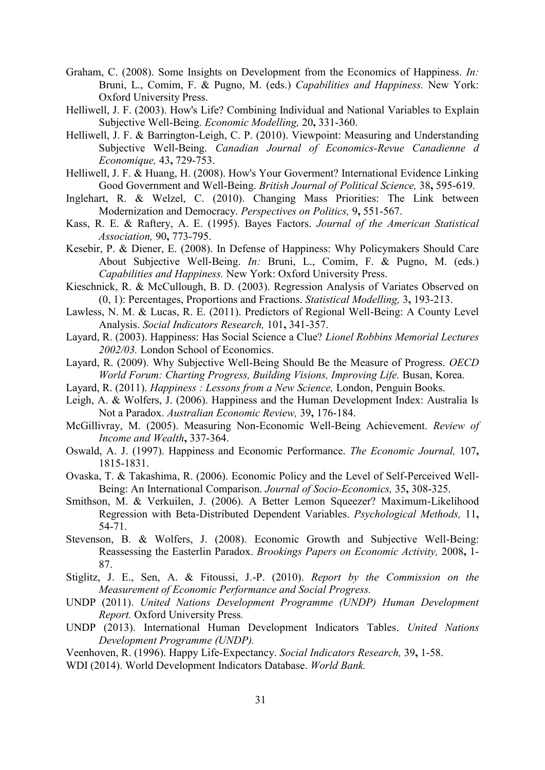- <span id="page-30-1"></span>Graham, C. (2008). Some Insights on Development from the Economics of Happiness. *In:* Bruni, L., Comim, F. & Pugno, M. (eds.) *Capabilities and Happiness.* New York: Oxford University Press.
- <span id="page-30-16"></span>Helliwell, J. F. (2003). How's Life? Combining Individual and National Variables to Explain Subjective Well-Being. *Economic Modelling,* 20**,** 331-360.
- <span id="page-30-6"></span>Helliwell, J. F. & Barrington-Leigh, C. P. (2010). Viewpoint: Measuring and Understanding Subjective Well-Being. *Canadian Journal of Economics-Revue Canadienne d Economique,* 43**,** 729-753.
- <span id="page-30-24"></span><span id="page-30-10"></span>Helliwell, J. F. & Huang, H. (2008). How's Your Goverment? International Evidence Linking Good Government and Well-Being. *British Journal of Political Science,* 38**,** 595-619.
- <span id="page-30-15"></span>Inglehart, R. & Welzel, C. (2010). Changing Mass Priorities: The Link between Modernization and Democracy. *Perspectives on Politics,* 9**,** 551-567.
- <span id="page-30-19"></span>Kass, R. E. & Raftery, A. E. (1995). Bayes Factors. *Journal of the American Statistical Association,* 90**,** 773-795.
- <span id="page-30-25"></span><span id="page-30-0"></span>Kesebir, P. & Diener, E. (2008). In Defense of Happiness: Why Policymakers Should Care About Subjective Well-Being. *In:* Bruni, L., Comim, F. & Pugno, M. (eds.) *Capabilities and Happiness.* New York: Oxford University Press.
- <span id="page-30-18"></span>Kieschnick, R. & McCullough, B. D. (2003). Regression Analysis of Variates Observed on (0, 1): Percentages, Proportions and Fractions. *Statistical Modelling,* 3**,** 193-213.
- <span id="page-30-23"></span><span id="page-30-7"></span>Lawless, N. M. & Lucas, R. E. (2011). Predictors of Regional Well-Being: A County Level Analysis. *Social Indicators Research,* 101**,** 341-357.
- <span id="page-30-20"></span>Layard, R. (2003). Happiness: Has Social Science a Clue? *Lionel Robbins Memorial Lectures 2002/03.* London School of Economics.
- <span id="page-30-3"></span>Layard, R. (2009). Why Subjective Well-Being Should Be the Measure of Progress. *OECD World Forum: Charting Progress, Building Visions, Improving Life.* Busan, Korea.
- <span id="page-30-21"></span>Layard, R. (2011). *Happiness : Lessons from a New Science,* London, Penguin Books.
- <span id="page-30-8"></span>Leigh, A. & Wolfers, J. (2006). Happiness and the Human Development Index: Australia Is Not a Paradox. *Australian Economic Review,* 39**,** 176-184.
- <span id="page-30-13"></span>McGillivray, M. (2005). Measuring Non-Economic Well-Being Achievement. *Review of Income and Wealth***,** 337-364.
- <span id="page-30-11"></span>Oswald, A. J. (1997). Happiness and Economic Performance. *The Economic Journal,* 107**,** 1815-1831.
- <span id="page-30-4"></span>Ovaska, T. & Takashima, R. (2006). Economic Policy and the Level of Self-Perceived Well-Being: An International Comparison. *Journal of Socio-Economics,* 35**,** 308-325.
- <span id="page-30-17"></span>Smithson, M. & Verkuilen, J. (2006). A Better Lemon Squeezer? Maximum-Likelihood Regression with Beta-Distributed Dependent Variables. *Psychological Methods,* 11**,** 54-71.
- <span id="page-30-5"></span>Stevenson, B. & Wolfers, J. (2008). Economic Growth and Subjective Well-Being: Reassessing the Easterlin Paradox. *Brookings Papers on Economic Activity,* 2008**,** 1- 87.
- <span id="page-30-2"></span>Stiglitz, J. E., Sen, A. & Fitoussi, J.-P. (2010). *Report by the Commission on the Measurement of Economic Performance and Social Progress.*
- <span id="page-30-14"></span>UNDP (2011). *United Nations Development Programme (UNDP) Human Development Report.* Oxford University Press*.*
- <span id="page-30-12"></span>UNDP (2013). International Human Development Indicators Tables. *United Nations Development Programme (UNDP).*
- <span id="page-30-9"></span>Veenhoven, R. (1996). Happy Life-Expectancy. *Social Indicators Research,* 39**,** 1-58.
- <span id="page-30-22"></span>WDI (2014). World Development Indicators Database. *World Bank.*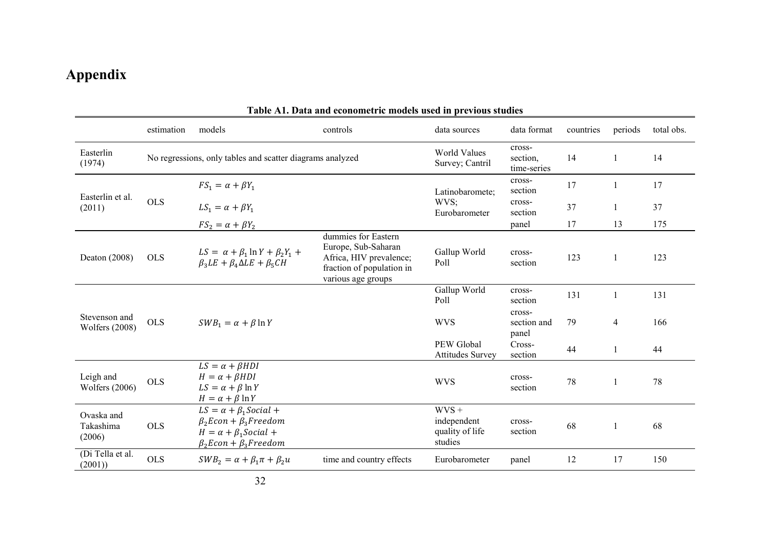# **Appendix**

|                                        |                             |                                                                                                                                         | Table AT. Data and econometric models used in previous studies                                                           |                                                      |                                   |           |                |            |
|----------------------------------------|-----------------------------|-----------------------------------------------------------------------------------------------------------------------------------------|--------------------------------------------------------------------------------------------------------------------------|------------------------------------------------------|-----------------------------------|-----------|----------------|------------|
|                                        | estimation                  | models                                                                                                                                  | controls                                                                                                                 | data sources                                         | data format                       | countries | periods        | total obs. |
| Easterlin<br>(1974)                    |                             | No regressions, only tables and scatter diagrams analyzed                                                                               |                                                                                                                          | <b>World Values</b><br>Survey; Cantril               | cross-<br>section,<br>time-series | 14        | -1             | 14         |
|                                        | $FS_1 = \alpha + \beta Y_1$ |                                                                                                                                         | Latinobaromete;                                                                                                          | cross-<br>section                                    | 17                                |           | 17             |            |
| Easterlin et al.<br>(2011)             | <b>OLS</b>                  | $LS_1 = \alpha + \beta Y_1$                                                                                                             |                                                                                                                          | WVS;<br>Eurobarometer                                | cross-<br>section                 | 37        |                | 37         |
|                                        |                             | $FS_2 = \alpha + \beta Y_2$                                                                                                             |                                                                                                                          |                                                      | panel                             | 17        | 13             | 175        |
| Deaton (2008)                          | <b>OLS</b>                  | $LS = \alpha + \beta_1 \ln Y + \beta_2 Y_1 +$<br>$\beta_3LE + \beta_4 \Delta LE + \beta_5 CH$                                           | dummies for Eastern<br>Europe, Sub-Saharan<br>Africa, HIV prevalence;<br>fraction of population in<br>various age groups | Gallup World<br>Poll                                 | cross-<br>section                 | 123       | 1              | 123        |
|                                        |                             |                                                                                                                                         |                                                                                                                          | Gallup World<br>Poll                                 | cross-<br>section                 | 131       | $\mathbf{1}$   | 131        |
| Stevenson and<br><b>Wolfers</b> (2008) | <b>OLS</b>                  | $SWB_1 = \alpha + \beta \ln Y$                                                                                                          |                                                                                                                          | <b>WVS</b>                                           | cross-<br>section and<br>panel    | 79        | $\overline{4}$ | 166        |
|                                        |                             |                                                                                                                                         |                                                                                                                          | PEW Global<br><b>Attitudes Survey</b>                | Cross-<br>section                 | 44        | 1              | 44         |
| Leigh and<br>Wolfers (2006)            | <b>OLS</b>                  | $LS = \alpha + \beta HDI$<br>$H = \alpha + \beta HDI$<br>$LS = \alpha + \beta \ln Y$<br>$H = \alpha + \beta \ln Y$                      |                                                                                                                          | <b>WVS</b>                                           | cross-<br>section                 | 78        | 1              | 78         |
| Ovaska and<br>Takashima<br>(2006)      | <b>OLS</b>                  | $LS = \alpha + \beta_1 Social +$<br>$\beta_2Econ + \beta_3Freedom$<br>$H = \alpha + \beta_1$ Social +<br>$\beta_2Econ + \beta_3Freedom$ |                                                                                                                          | $WVS +$<br>independent<br>quality of life<br>studies | cross-<br>section                 | 68        | $\mathbf{1}$   | 68         |
| (Di Tella et al.<br>(2001)             | <b>OLS</b>                  | $SWB_2 = \alpha + \beta_1 \pi + \beta_2 u$                                                                                              | time and country effects                                                                                                 | Eurobarometer                                        | panel                             | 12        | 17             | 150        |

#### **Table A1. Data and econometric models used in previous studies**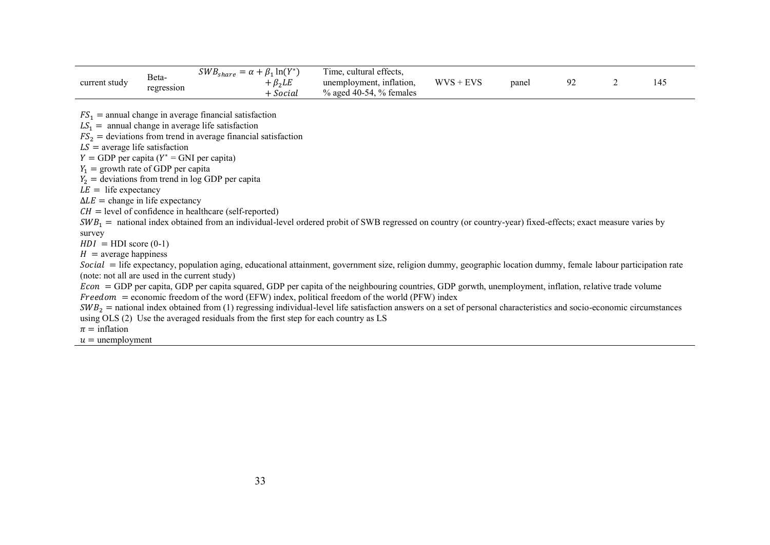|               |                     | $SWB_{share}$<br>$\lambda_1$ ln $(Y^*)$<br>$\mathfrak{B}_1$<br>$\sim \alpha$ | m.<br>cultural effects,<br>l ime. |                          |       |  |     |
|---------------|---------------------|------------------------------------------------------------------------------|-----------------------------------|--------------------------|-------|--|-----|
| current study | Beta-<br>regression | B <sub>2</sub> LE                                                            | unemployment, inflation,          | <b>WVS</b><br><b>EVS</b> | panel |  | 14: |
|               |                     | Social                                                                       | $\%$ aged 40-54, $\%$ females     |                          |       |  |     |

 $FS_1$  = annual change in average financial satisfaction

 $LS_1$  = annual change in average life satisfaction

 $FS<sub>2</sub>$  = deviations from trend in average financial satisfaction

 $LS =$  average life satisfaction

 $Y = GDP$  per capita ( $Y^* = GNU$  per capita)

 $Y_1$  = growth rate of GDP per capita

 $Y_2$  = deviations from trend in log GDP per capita

 $LE =$  life expectancy

 $\Delta LE$  = change in life expectancy

 $CH = level of confidence in healthcare (self-reported)$ 

 $SWB_1$  = national index obtained from an individual-level ordered probit of SWB regressed on country (or country-year) fixed-effects; exact measure varies by

survey

 $HDI = HDI$  score (0-1)

 $H =$ average happiness

Social = life expectancy, population aging, educational attainment, government size, religion dummy, geographic location dummy, female labour participation rate (note: not all are used in the current study)

 $Econ = GDP$  per capita, GDP per capita squared, GDP per capita of the neighbouring countries, GDP gorwth, unemployment, inflation, relative trade volume  $Freedom = economic freedom of the word (EFW) index, political freedom of the world (PFW) index.$ 

 $SWB<sub>2</sub>$  = national index obtained from (1) regressing individual-level life satisfaction answers on a set of personal characteristics and socio-economic circumstances using OLS (2) Use the averaged residuals from the first step for each country as LS

 $\pi$  = inflation

 $u =$  unemployment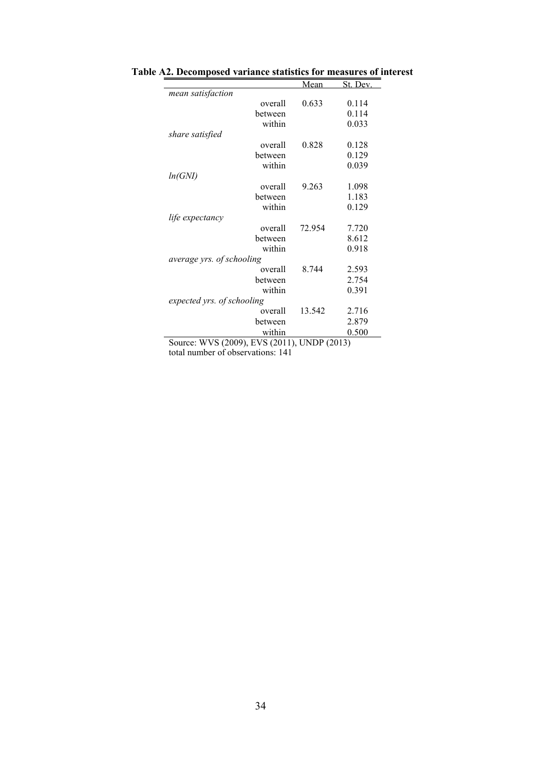|                                                                            | Mean         | St. Dev. |
|----------------------------------------------------------------------------|--------------|----------|
| mean satisfaction                                                          |              |          |
| overall                                                                    | 0.633        | 0.114    |
| between                                                                    |              | 0.114    |
| within                                                                     |              | 0.033    |
| share satisfied                                                            |              |          |
| overall                                                                    | 0.828        | 0.128    |
| between                                                                    |              | 0.129    |
| within                                                                     |              | 0.039    |
| ln(GNI)                                                                    |              |          |
| overall                                                                    | 9.263        | 1.098    |
| between                                                                    |              | 1.183    |
| within                                                                     |              | 0.129    |
| life expectancy                                                            |              |          |
| overall                                                                    | 72.954       | 7.720    |
| between                                                                    |              | 8.612    |
| within                                                                     |              | 0.918    |
| average yrs. of schooling                                                  |              |          |
| overall                                                                    | 8.744        | 2.593    |
| between                                                                    |              | 2.754    |
| within                                                                     |              | 0.391    |
| expected yrs. of schooling                                                 |              |          |
| overall                                                                    | 13.542       | 2.716    |
|                                                                            |              |          |
| between                                                                    |              | 2.879    |
| within<br>$\Pi\Pi\Pi I \Omega$ (2000)<br>$\Gamma$ VIC (2011)<br>$\Omega$ . | TINTD (2012) | 0.500    |

**Table A2. Decomposed variance statistics for measures of interest**

Source: WVS (2009), EVS (2011), UNDP (2013)

total number of observations: 141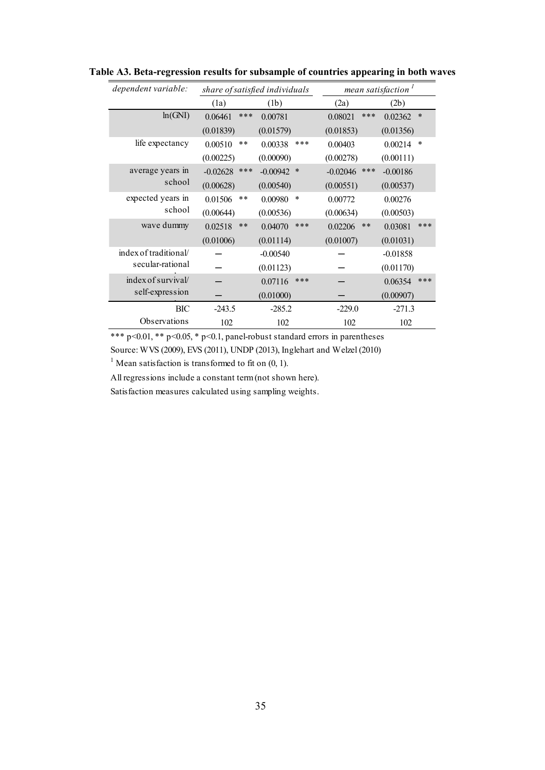| dependent variable:   | mean satisfaction <sup>1</sup><br>share of satisfied individuals |                      |                   |                   |
|-----------------------|------------------------------------------------------------------|----------------------|-------------------|-------------------|
|                       | (1a)                                                             | (1b)                 | (2a)              | (2b)              |
| ln(GNI)               | ***<br>0.06461                                                   | 0.00781              | ***<br>0.08021    | $\ast$<br>0.02362 |
|                       | (0.01839)                                                        | (0.01579)            | (0.01853)         | (0.01356)         |
| life expectancy       | 0.00510<br>$* *$                                                 | ***<br>0.00338       | 0.00403           | *<br>0.00214      |
|                       | (0.00225)                                                        | (0.00090)            | (0.00278)         | (0.00111)         |
| average years in      | ***<br>$-0.02628$                                                | $-0.00942$<br>$\ast$ | ***<br>$-0.02046$ | $-0.00186$        |
| school                | (0.00628)                                                        | (0.00540)            | (0.00551)         | (0.00537)         |
| expected years in     | $* *$<br>0.01506                                                 | $\ast$<br>0.00980    | 0.00772           | 0.00276           |
| school                | (0.00644)                                                        | (0.00536)            | (0.00634)         | (0.00503)         |
| wave dummy            | 0.02518<br>$* *$                                                 | ***<br>0.04070       | $***$<br>0.02206  | ***<br>0.03081    |
|                       | (0.01006)                                                        | (0.01114)            | (0.01007)         | (0.01031)         |
| index of traditional/ |                                                                  | $-0.00540$           |                   | $-0.01858$        |
| secular-rational      |                                                                  | (0.01123)            |                   | (0.01170)         |
| index of survival/    |                                                                  | ***<br>0.07116       |                   | ***<br>0.06354    |
| self-expression       |                                                                  | (0.01000)            |                   | (0.00907)         |
| BIC                   | $-243.5$                                                         | $-285.2$             | $-229.0$          | $-271.3$          |
| Observations          | 102                                                              | 102                  | 102               | 102               |

**Table A3. Beta-regression results for subsample of countries appearing in both waves**

\*\*\* p<0.01, \*\* p<0.05, \* p<0.1, panel-robust standard errors in parentheses

Source: WVS (2009), EVS (2011), UNDP (2013), Inglehart and Welzel (2010)

<sup>1</sup> Mean satisfaction is transformed to fit on  $(0, 1)$ .

All regressions include a constant term (not shown here).

Satisfaction measures calculated using sampling weights.